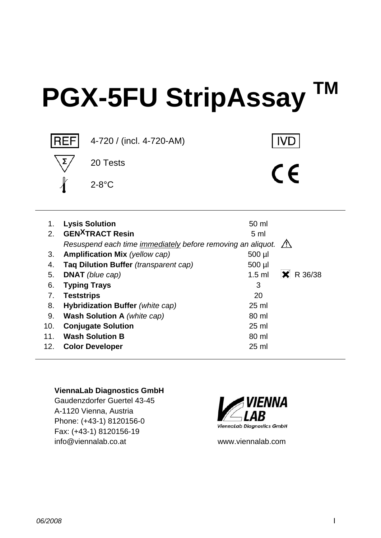# **PGX-5FU StripAssay TM**



| 1.  | <b>Lysis Solution</b>                                                   | 50 ml                   |
|-----|-------------------------------------------------------------------------|-------------------------|
| 2.  | <b>GEN<sup>X</sup>TRACT Resin</b>                                       | 5 <sub>m</sub>          |
|     | Resuspend each time immediately before removing an aliquot. $\bigwedge$ |                         |
| 3.  | Amplification Mix (yellow cap)                                          | 500 µl                  |
| 4.  | Taq Dilution Buffer (transparent cap)                                   | 500 µl                  |
| 5.  | <b>DNAT</b> (blue cap)                                                  | $R$ R 36/38<br>$1.5$ ml |
| 6.  | <b>Typing Trays</b>                                                     | 3                       |
| 7.  | <b>Teststrips</b>                                                       | 20                      |
| 8.  | Hybridization Buffer (white cap)                                        | $25$ ml                 |
| 9.  | <b>Wash Solution A</b> (white cap)                                      | 80 ml                   |
| 10. | <b>Conjugate Solution</b>                                               | $25 \text{ ml}$         |
| 11. | <b>Wash Solution B</b>                                                  | 80 ml                   |
| 12. | <b>Color Developer</b>                                                  | $25 \text{ ml}$         |

#### **ViennaLab Diagnostics GmbH**

Gaudenzdorfer Guertel 43-45 A-1120 Vienna, Austria Phone: (+43-1) 8120156-0 Fax: (+43-1) 8120156-19 info@viennalab.co.at www.viennalab.com

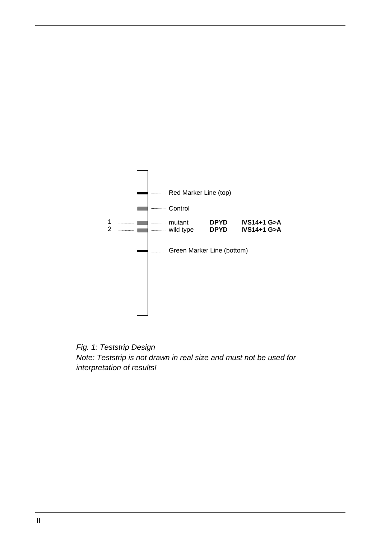

*Fig. 1: Teststrip Design Note: Teststrip is not drawn in real size and must not be used for interpretation of results!*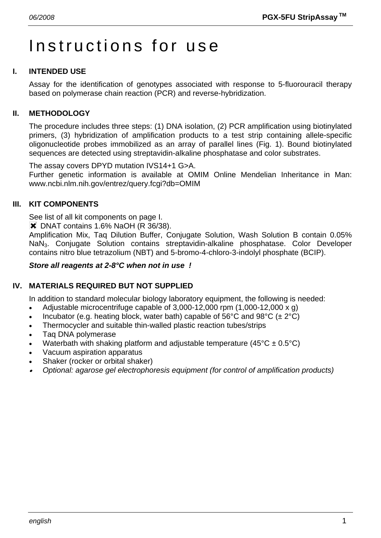# Instructions for use

# **I. INTENDED USE**

Assay for the identification of genotypes associated with response to 5-fluorouracil therapy based on polymerase chain reaction (PCR) and reverse-hybridization.

#### **II. METHODOLOGY**

The procedure includes three steps: (1) DNA isolation, (2) PCR amplification using biotinylated primers, (3) hybridization of amplification products to a test strip containing allele-specific oligonucleotide probes immobilized as an array of parallel lines (Fig. 1). Bound biotinylated sequences are detected using streptavidin-alkaline phosphatase and color substrates.

The assay covers DPYD mutation IVS14+1 G>A. Further genetic information is available at OMIM Online Mendelian Inheritance in Man: www.ncbi.nlm.nih.gov/entrez/query.fcgi?db=OMIM

#### **III. KIT COMPONENTS**

See list of all kit components on page I.

**\*** DNAT contains 1.6% NaOH (R 36/38).

Amplification Mix, Taq Dilution Buffer, Conjugate Solution, Wash Solution B contain 0.05% NaN3. Conjugate Solution contains streptavidin-alkaline phosphatase. Color Developer contains nitro blue tetrazolium (NBT) and 5-bromo-4-chloro-3-indolyl phosphate (BCIP).

#### *Store all reagents at 2-8°C when not in use !*

#### **IV. MATERIALS REQUIRED BUT NOT SUPPLIED**

In addition to standard molecular biology laboratory equipment, the following is needed:

- Adjustable microcentrifuge capable of  $3,000-12,000$  rpm  $(1,000-12,000 \times g)$
- Incubator (e.g. heating block, water bath) capable of 56°C and 98°C ( $\pm 2$ °C)
- Thermocycler and suitable thin-walled plastic reaction tubes/strips
- Taq DNA polymerase
- Waterbath with shaking platform and adjustable temperature ( $45^{\circ}$ C  $\pm$  0.5°C)
- Vacuum aspiration apparatus
- Shaker (rocker or orbital shaker)
- • *Optional: agarose gel electrophoresis equipment (for control of amplification products)*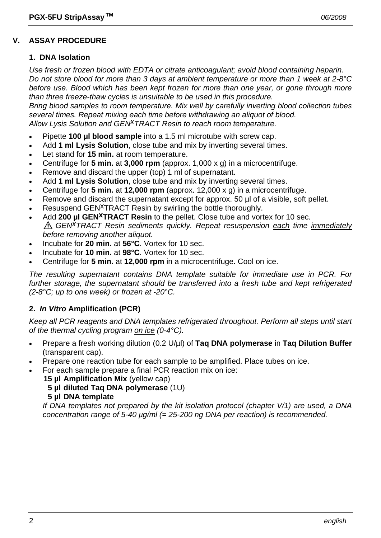#### **V. ASSAY PROCEDURE**

#### **1. DNA Isolation**

*Use fresh or frozen blood with EDTA or citrate anticoagulant; avoid blood containing heparin. Do not store blood for more than 3 days at ambient temperature or more than 1 week at 2-8°C before use. Blood which has been kept frozen for more than one year, or gone through more than three freeze-thaw cycles is unsuitable to be used in this procedure.* 

*Bring blood samples to room temperature. Mix well by carefully inverting blood collection tubes several times. Repeat mixing each time before withdrawing an aliquot of blood. Allow Lysis Solution and GENxTRACT Resin to reach room temperature.*

- Pipette **100 µl blood sample** into a 1.5 ml microtube with screw cap.
- Add **1 ml Lysis Solution**, close tube and mix by inverting several times.
- Let stand for **15 min.** at room temperature.
- Centrifuge for **5 min.** at **3,000 rpm** (approx. 1,000 x g) in a microcentrifuge.
- Remove and discard the upper (top) 1 ml of supernatant.
- Add **1 ml Lysis Solution**, close tube and mix by inverting several times.
- Centrifuge for **5 min.** at **12,000 rpm** (approx. 12,000 x g) in a microcentrifuge.
- Remove and discard the supernatant except for approx. 50 µl of a visible, soft pellet.
- Resuspend GEN<sup>X</sup>TRACT Resin by swirling the bottle thoroughly.
- Add **200 µl GEN<sup>X</sup>TRACT Resin** to the pellet. Close tube and vortex for 10 sec. *GENxTRACT Resin sediments quickly. Repeat resuspension each time immediately before removing another aliquot.*
- Incubate for **20 min.** at **56°C**. Vortex for 10 sec.
- Incubate for **10 min.** at **98°C**. Vortex for 10 sec.
- Centrifuge for **5 min.** at **12,000 rpm** in a microcentrifuge. Cool on ice.

*The resulting supernatant contains DNA template suitable for immediate use in PCR. For further storage, the supernatant should be transferred into a fresh tube and kept refrigerated (2-8°C; up to one week) or frozen at -20°C.* 

#### **2.** *In Vitro* **Amplification (PCR)**

*Keep all PCR reagents and DNA templates refrigerated throughout. Perform all steps until start of the thermal cycling program on ice (0-4°C).* 

- Prepare a fresh working dilution (0.2 U/µl) of **Taq DNA polymerase** in **Taq Dilution Buffer** (transparent cap).
- Prepare one reaction tube for each sample to be amplified. Place tubes on ice.
- For each sample prepare a final PCR reaction mix on ice:
	- **15 µl Amplification Mix** (yellow cap)
		- **5 µl diluted Taq DNA polymerase** (1U)
		- **5 µl DNA template**

 *If DNA templates not prepared by the kit isolation protocol (chapter V/1) are used, a DNA concentration range of 5-40 µg/ml (= 25-200 ng DNA per reaction) is recommended.*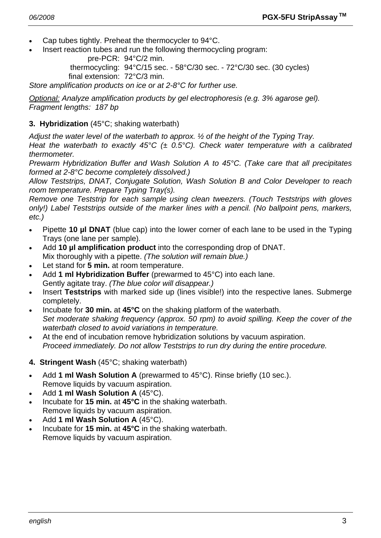- Cap tubes tightly. Preheat the thermocycler to 94°C.
- Insert reaction tubes and run the following thermocycling program:

pre-PCR: 94°C/2 min.

 thermocycling: 94°C/15 sec. - 58°C/30 sec. - 72°C/30 sec. (30 cycles) final extension: 72°C/3 min.

*Store amplification products on ice or at 2-8°C for further use.* 

*Optional: Analyze amplification products by gel electrophoresis (e.g. 3% agarose gel). Fragment lengths: 187 bp* 

#### **3. Hybridization** (45°C; shaking waterbath)

*Adjust the water level of the waterbath to approx. ½ of the height of the Typing Tray.* 

*Heat the waterbath to exactly 45°C (± 0.5°C). Check water temperature with a calibrated thermometer.* 

*Prewarm Hybridization Buffer and Wash Solution A to 45°C. (Take care that all precipitates formed at 2-8°C become completely dissolved.)* 

*Allow Teststrips, DNAT, Conjugate Solution, Wash Solution B and Color Developer to reach room temperature. Prepare Typing Tray(s).* 

*Remove one Teststrip for each sample using clean tweezers. (Touch Teststrips with gloves only!) Label Teststrips outside of the marker lines with a pencil. (No ballpoint pens, markers, etc.)* 

- Pipette **10 µl DNAT** (blue cap) into the lower corner of each lane to be used in the Typing Trays (one lane per sample).
- Add **10 µl amplification product** into the corresponding drop of DNAT. Mix thoroughly with a pipette. *(The solution will remain blue.)*
- Let stand for **5 min.** at room temperature.
- Add **1 ml Hybridization Buffer** (prewarmed to 45°C) into each lane. Gently agitate tray. *(The blue color will disappear.)*
- Insert **Teststrips** with marked side up (lines visible!) into the respective lanes. Submerge completely.
- Incubate for **30 min.** at **45°C** on the shaking platform of the waterbath.  *Set moderate shaking frequency (approx. 50 rpm) to avoid spilling. Keep the cover of the waterbath closed to avoid variations in temperature.*
- At the end of incubation remove hybridization solutions by vacuum aspiration.  *Proceed immediately. Do not allow Teststrips to run dry during the entire procedure.*
- **4. Stringent Wash** (45°C; shaking waterbath)
- Add **1 ml Wash Solution A** (prewarmed to 45°C). Rinse briefly (10 sec.). Remove liquids by vacuum aspiration.
- Add **1 ml Wash Solution A** (45°C).
- Incubate for **15 min.** at **45°C** in the shaking waterbath. Remove liquids by vacuum aspiration.
- Add **1 ml Wash Solution A** (45°C).
- Incubate for **15 min.** at **45°C** in the shaking waterbath. Remove liquids by vacuum aspiration.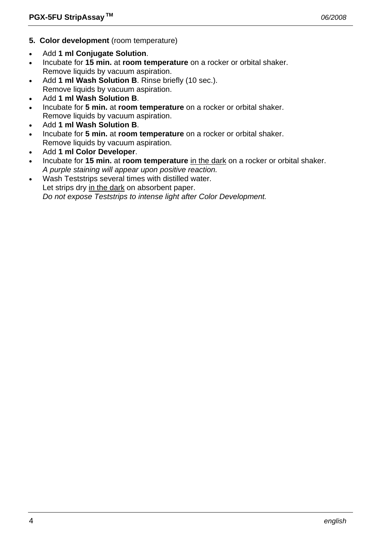- **5. Color development** (room temperature)
- Add **1 ml Conjugate Solution**.
- Incubate for **15 min.** at **room temperature** on a rocker or orbital shaker. Remove liquids by vacuum aspiration.
- Add **1 ml Wash Solution B**. Rinse briefly (10 sec.). Remove liquids by vacuum aspiration.
- Add **1 ml Wash Solution B**.
- Incubate for **5 min.** at **room temperature** on a rocker or orbital shaker. Remove liquids by vacuum aspiration.
- Add **1 ml Wash Solution B**.
- Incubate for **5 min.** at **room temperature** on a rocker or orbital shaker. Remove liquids by vacuum aspiration.
- Add **1 ml Color Developer**.
- Incubate for **15 min.** at **room temperature** in the dark on a rocker or orbital shaker.  *A purple staining will appear upon positive reaction.*
- Wash Teststrips several times with distilled water. Let strips dry in the dark on absorbent paper.  *Do not expose Teststrips to intense light after Color Development.*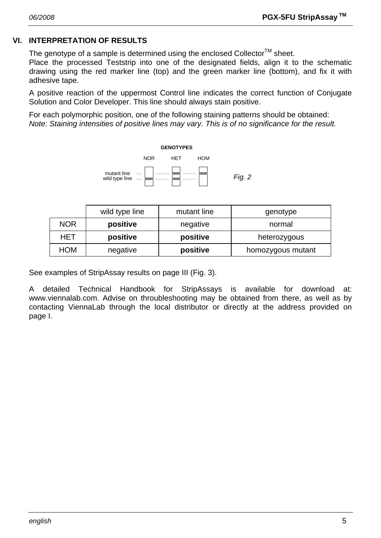# **VI. INTERPRETATION OF RESULTS**

The genotype of a sample is determined using the enclosed Collector<sup>TM</sup> sheet.

Place the processed Teststrip into one of the designated fields, align it to the schematic drawing using the red marker line (top) and the green marker line (bottom), and fix it with adhesive tape.

A positive reaction of the uppermost Control line indicates the correct function of Conjugate Solution and Color Developer. This line should always stain positive.

For each polymorphic position, one of the following staining patterns should be obtained: *Note: Staining intensities of positive lines may vary. This is of no significance for the result.* 



|                                    | wild type line       | mutant line | genotype          |
|------------------------------------|----------------------|-------------|-------------------|
| <b>NOR</b><br>positive<br>negative |                      | normal      |                   |
| HET                                | positive<br>positive |             | heterozygous      |
| HOM                                | negative             | positive    | homozygous mutant |

See examples of StripAssay results on page III (Fig. 3).

A detailed Technical Handbook for StripAssays is available for download at: www.viennalab.com. Advise on throubleshooting may be obtained from there, as well as by contacting ViennaLab through the local distributor or directly at the address provided on page I.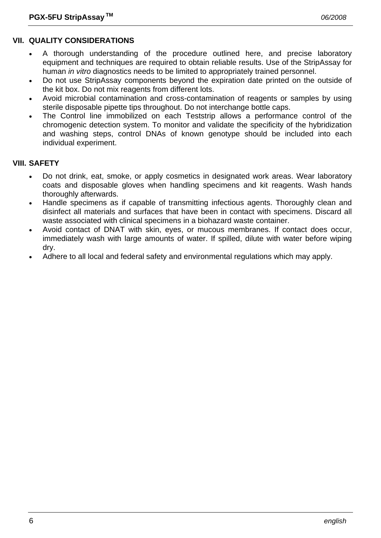# **VII. QUALITY CONSIDERATIONS**

- A thorough understanding of the procedure outlined here, and precise laboratory equipment and techniques are required to obtain reliable results. Use of the StripAssay for human *in vitro* diagnostics needs to be limited to appropriately trained personnel.
- Do not use StripAssay components beyond the expiration date printed on the outside of the kit box. Do not mix reagents from different lots.
- Avoid microbial contamination and cross-contamination of reagents or samples by using sterile disposable pipette tips throughout. Do not interchange bottle caps.
- The Control line immobilized on each Teststrip allows a performance control of the chromogenic detection system. To monitor and validate the specificity of the hybridization and washing steps, control DNAs of known genotype should be included into each individual experiment.

# **VIII. SAFETY**

- Do not drink, eat, smoke, or apply cosmetics in designated work areas. Wear laboratory coats and disposable gloves when handling specimens and kit reagents. Wash hands thoroughly afterwards.
- Handle specimens as if capable of transmitting infectious agents. Thoroughly clean and disinfect all materials and surfaces that have been in contact with specimens. Discard all waste associated with clinical specimens in a biohazard waste container.
- Avoid contact of DNAT with skin, eyes, or mucous membranes. If contact does occur, immediately wash with large amounts of water. If spilled, dilute with water before wiping dry.
- Adhere to all local and federal safety and environmental regulations which may apply.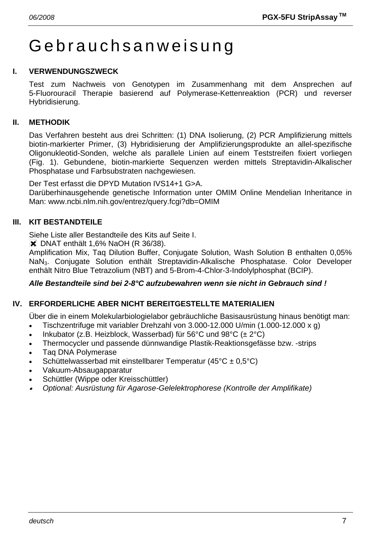# Gebrauchsanweisung

#### **I. VERWENDUNGSZWECK**

Test zum Nachweis von Genotypen im Zusammenhang mit dem Ansprechen auf 5-Fluorouracil Therapie basierend auf Polymerase-Kettenreaktion (PCR) und reverser Hybridisierung.

#### **II. METHODIK**

Das Verfahren besteht aus drei Schritten: (1) DNA Isolierung, (2) PCR Amplifizierung mittels biotin-markierter Primer, (3) Hybridisierung der Amplifizierungsprodukte an allel-spezifische Oligonukleotid-Sonden, welche als parallele Linien auf einem Teststreifen fixiert vorliegen (Fig. 1). Gebundene, biotin-markierte Sequenzen werden mittels Streptavidin-Alkalischer Phosphatase und Farbsubstraten nachgewiesen.

Der Test erfasst die DPYD Mutation IVS14+1 G>A.

Darüberhinausgehende genetische Information unter OMIM Online Mendelian Inheritance in Man: www.ncbi.nlm.nih.gov/entrez/query.fcgi?db=OMIM

#### **III. KIT BESTANDTEILE**

Siehe Liste aller Bestandteile des Kits auf Seite I.

**X** DNAT enthält 1,6% NaOH (R 36/38).

Amplification Mix, Taq Dilution Buffer, Conjugate Solution, Wash Solution B enthalten 0,05% NaN3. Conjugate Solution enthält Streptavidin-Alkalische Phosphatase. Color Developer enthält Nitro Blue Tetrazolium (NBT) and 5-Brom-4-Chlor-3-Indolylphosphat (BCIP).

#### *Alle Bestandteile sind bei 2-8°C aufzubewahren wenn sie nicht in Gebrauch sind !*

#### **IV. ERFORDERLICHE ABER NICHT BEREITGESTELLTE MATERIALIEN**

Über die in einem Molekularbiologielabor gebräuchliche Basisausrüstung hinaus benötigt man:

- Tischzentrifuge mit variabler Drehzahl von 3.000-12.000 U/min (1.000-12.000 x g)
- Inkubator (z.B. Heizblock, Wasserbad) für 56°C und  $98$ °C ( $\pm 2$ °C)
- Thermocycler und passende dünnwandige Plastik-Reaktionsgefässe bzw. -strips
- Taq DNA Polymerase
- Schüttelwasserbad mit einstellbarer Temperatur (45°C ± 0,5°C)
- Vakuum-Absaugapparatur
- Schüttler (Wippe oder Kreisschüttler)
- • *Optional: Ausrüstung für Agarose-Gelelektrophorese (Kontrolle der Amplifikate)*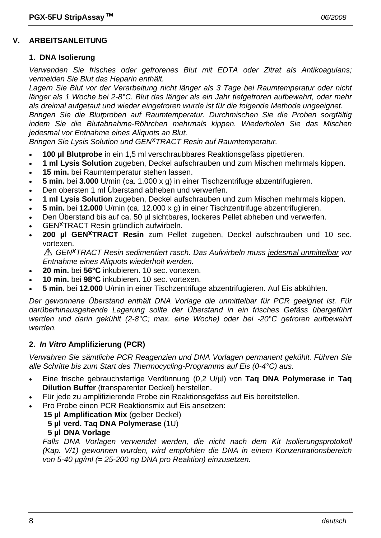#### **1. DNA Isolierung**

*Verwenden Sie frisches oder gefrorenes Blut mit EDTA oder Zitrat als Antikoagulans; vermeiden Sie Blut das Heparin enthält.* 

*Lagern Sie Blut vor der Verarbeitung nicht länger als 3 Tage bei Raumtemperatur oder nicht länger als 1 Woche bei 2-8°C. Blut das länger als ein Jahr tiefgefroren aufbewahrt, oder mehr als dreimal aufgetaut und wieder eingefroren wurde ist für die folgende Methode ungeeignet. Bringen Sie die Blutproben auf Raumtemperatur. Durchmischen Sie die Proben sorgfältig* 

*indem Sie die Blutabnahme-Röhrchen mehrmals kippen. Wiederholen Sie das Mischen jedesmal vor Entnahme eines Aliquots an Blut.* 

*Bringen Sie Lysis Solution und GEN<sup>X</sup>TRACT Resin auf Raumtemperatur.* 

- **100 µl Blutprobe** in ein 1,5 ml verschraubbares Reaktionsgefäss pipettieren.
- **1 ml Lysis Solution** zugeben, Deckel aufschrauben und zum Mischen mehrmals kippen.
- **15 min.** bei Raumtemperatur stehen lassen.
- **5 min.** bei **3.000** U/min (ca. 1.000 x g) in einer Tischzentrifuge abzentrifugieren.
- Den obersten 1 ml Überstand abheben und verwerfen.
- **1 ml Lysis Solution** zugeben, Deckel aufschrauben und zum Mischen mehrmals kippen.
- **5 min.** bei **12.000** U/min (ca. 12.000 x g) in einer Tischzentrifuge abzentrifugieren.
- Den Überstand bis auf ca. 50 µl sichtbares, lockeres Pellet abheben und verwerfen.
- GENxTRACT Resin gründlich aufwirbeln.
- 200 µl GEN<sup>X</sup>TRACT Resin zum Pellet zugeben, Deckel aufschrauben und 10 sec. vortexen.

*GENxTRACT Resin sedimentiert rasch. Das Aufwirbeln muss jedesmal unmittelbar vor Entnahme eines Aliquots wiederholt werden.* 

- **20 min.** bei **56°C** inkubieren. 10 sec. vortexen.
- **10 min.** bei **98°C** inkubieren. 10 sec. vortexen.
- **5 min.** bei **12.000** U/min in einer Tischzentrifuge abzentrifugieren. Auf Eis abkühlen.

*Der gewonnene Überstand enthält DNA Vorlage die unmittelbar für PCR geeignet ist. Für darüberhinausgehende Lagerung sollte der Überstand in ein frisches Gefäss übergeführt werden und darin gekühlt (2-8°C; max. eine Woche) oder bei -20°C gefroren aufbewahrt werden.* 

# **2.** *In Vitro* **Amplifizierung (PCR)**

*Verwahren Sie sämtliche PCR Reagenzien und DNA Vorlagen permanent gekühlt. Führen Sie alle Schritte bis zum Start des Thermocycling-Programms auf Eis (0-4°C) aus.* 

- Eine frische gebrauchsfertige Verdünnung (0,2 U/µl) von **Taq DNA Polymerase** in **Taq Dilution Buffer** (transparenter Deckel) herstellen.
- Für jede zu amplifizierende Probe ein Reaktionsgefäss auf Eis bereitstellen.
- Pro Probe einen PCR Reaktionsmix auf Eis ansetzen:
	- **15 µl Amplification Mix** (gelber Deckel)

# **5 µl verd. Taq DNA Polymerase** (1U)

**5 µl DNA Vorlage**

Falls DNA Vorlagen verwendet werden, die nicht nach dem Kit Isolierungsprotokoll *(Kap. V/1) gewonnen wurden, wird empfohlen die DNA in einem Konzentrationsbereich von 5-40 µg/ml (= 25-200 ng DNA pro Reaktion) einzusetzen.*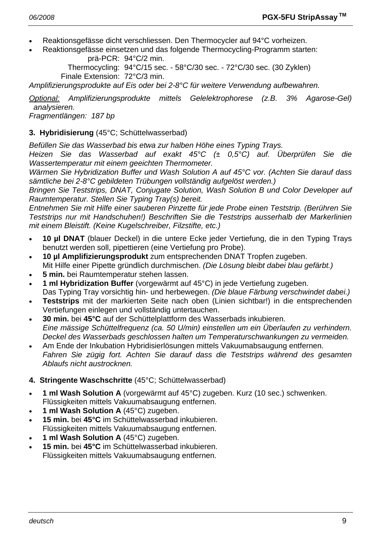- Reaktionsgefässe dicht verschliessen. Den Thermocycler auf 94°C vorheizen.
- Reaktionsgefässe einsetzen und das folgende Thermocycling-Programm starten: prä-PCR: 94°C/2 min.

 Thermocycling: 94°C/15 sec. - 58°C/30 sec. - 72°C/30 sec. (30 Zyklen) Finale Extension: 72°C/3 min.

*Amplifizierungsprodukte auf Eis oder bei 2-8°C für weitere Verwendung aufbewahren.* 

*Optional: Amplifizierungsprodukte mittels Gelelektrophorese (z.B. 3% Agarose-Gel) analysieren.* 

*Fragmentlängen: 187 bp* 

# **3. Hybridisierung** (45°C; Schüttelwasserbad)

*Befüllen Sie das Wasserbad bis etwa zur halben Höhe eines Typing Trays.* 

*Heizen Sie das Wasserbad auf exakt 45°C (± 0,5°C) auf. Überprüfen Sie die Wassertemperatur mit einem geeichten Thermometer.* 

*Wärmen Sie Hybridization Buffer und Wash Solution A auf 45°C vor. (Achten Sie darauf dass sämtliche bei 2-8°C gebildeten Trübungen vollständig aufgelöst werden.)* 

*Bringen Sie Teststrips, DNAT, Conjugate Solution, Wash Solution B und Color Developer auf Raumtemperatur. Stellen Sie Typing Tray(s) bereit.* 

*Entnehmen Sie mit Hilfe einer sauberen Pinzette für jede Probe einen Teststrip. (Berühren Sie Teststrips nur mit Handschuhen!) Beschriften Sie die Teststrips ausserhalb der Markerlinien mit einem Bleistift. (Keine Kugelschreiber, Filzstifte, etc.)* 

- **10 µl DNAT** (blauer Deckel) in die untere Ecke jeder Vertiefung, die in den Typing Trays benutzt werden soll, pipettieren (eine Vertiefung pro Probe).
- **10 µl Amplifizierungsprodukt** zum entsprechenden DNAT Tropfen zugeben. Mit Hilfe einer Pipette gründlich durchmischen. *(Die Lösung bleibt dabei blau gefärbt.)*
- **5 min.** bei Raumtemperatur stehen lassen.
- **1 ml Hybridization Buffer** (vorgewärmt auf 45°C) in jede Vertiefung zugeben. Das Typing Tray vorsichtig hin- und herbewegen. *(Die blaue Färbung verschwindet dabei.)*
- **Teststrips** mit der markierten Seite nach oben (Linien sichtbar!) in die entsprechenden Vertiefungen einlegen und vollständig untertauchen.
- **30 min.** bei **45°C** auf der Schüttelplattform des Wasserbads inkubieren.  *Eine mässige Schüttelfrequenz (ca. 50 U/min) einstellen um ein Überlaufen zu verhindern. Deckel des Wasserbads geschlossen halten um Temperaturschwankungen zu vermeiden.*
- Am Ende der Inkubation Hybridisierlösungen mittels Vakuumabsaugung entfernen.  *Fahren Sie zügig fort. Achten Sie darauf dass die Teststrips während des gesamten Ablaufs nicht austrocknen.*

# **4. Stringente Waschschritte** (45°C; Schüttelwasserbad)

- **1 ml Wash Solution A** (vorgewärmt auf 45°C) zugeben. Kurz (10 sec.) schwenken. Flüssigkeiten mittels Vakuumabsaugung entfernen.
- **1 ml Wash Solution A** (45°C) zugeben.
- **15 min.** bei **45°C** im Schüttelwasserbad inkubieren. Flüssigkeiten mittels Vakuumabsaugung entfernen.
- **1 ml Wash Solution A** (45°C) zugeben.
- **15 min.** bei **45°C** im Schüttelwasserbad inkubieren. Flüssigkeiten mittels Vakuumabsaugung entfernen.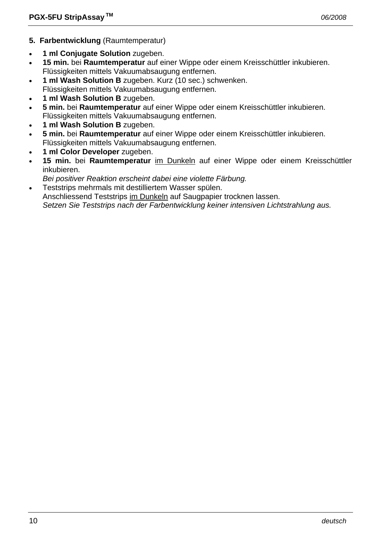- **5. Farbentwicklung** (Raumtemperatur)
- **1 ml Conjugate Solution** zugeben.
- **15 min.** bei **Raumtemperatur** auf einer Wippe oder einem Kreisschüttler inkubieren. Flüssigkeiten mittels Vakuumabsaugung entfernen.
- **1 ml Wash Solution B** zugeben. Kurz (10 sec.) schwenken.
- Flüssigkeiten mittels Vakuumabsaugung entfernen.
- **1 ml Wash Solution B** zugeben.
- **5 min.** bei **Raumtemperatur** auf einer Wippe oder einem Kreisschüttler inkubieren. Flüssigkeiten mittels Vakuumabsaugung entfernen.
- **1 ml Wash Solution B** zugeben.
- **5 min.** bei **Raumtemperatur** auf einer Wippe oder einem Kreisschüttler inkubieren. Flüssigkeiten mittels Vakuumabsaugung entfernen.
- **1 ml Color Developer** zugeben.
- **15 min.** bei **Raumtemperatur** im Dunkeln auf einer Wippe oder einem Kreisschüttler inkubieren.
- *Bei positiver Reaktion erscheint dabei eine violette Färbung.*
- Teststrips mehrmals mit destilliertem Wasser spülen.

 Anschliessend Teststrips im Dunkeln auf Saugpapier trocknen lassen.  *Setzen Sie Teststrips nach der Farbentwicklung keiner intensiven Lichtstrahlung aus.*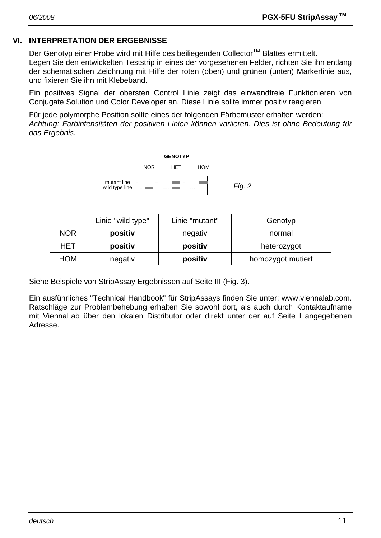# **VI. INTERPRETATION DER ERGEBNISSE**

Der Genotyp einer Probe wird mit Hilfe des beiliegenden Collector™ Blattes ermittelt. Legen Sie den entwickelten Teststrip in eines der vorgesehenen Felder, richten Sie ihn entlang der schematischen Zeichnung mit Hilfe der roten (oben) und grünen (unten) Markerlinie aus, und fixieren Sie ihn mit Klebeband.

Ein positives Signal der obersten Control Linie zeigt das einwandfreie Funktionieren von Conjugate Solution und Color Developer an. Diese Linie sollte immer positiv reagieren.

Für jede polymorphe Position sollte eines der folgenden Färbemuster erhalten werden: *Achtung: Farbintensitäten der positiven Linien können variieren. Dies ist ohne Bedeutung für das Ergebnis.* 



|            | Linie "wild type" | Linie "mutant" | Genotyp           |
|------------|-------------------|----------------|-------------------|
| <b>NOR</b> | positiv           | negativ        | normal            |
| HET        | positiv           | positiv        | heterozygot       |
| HOM        | negativ           | positiv        | homozygot mutiert |

Siehe Beispiele von StripAssay Ergebnissen auf Seite III (Fig. 3).

Ein ausführliches "Technical Handbook" für StripAssays finden Sie unter: www.viennalab.com. Ratschläge zur Problembehebung erhalten Sie sowohl dort, als auch durch Kontaktaufname mit ViennaLab über den lokalen Distributor oder direkt unter der auf Seite I angegebenen Adresse.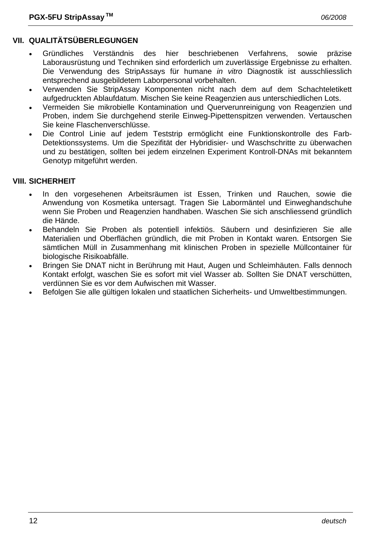# **VII. QUALITÄTSÜBERLEGUNGEN**

- Gründliches Verständnis des hier beschriebenen Verfahrens, sowie präzise Laborausrüstung und Techniken sind erforderlich um zuverlässige Ergebnisse zu erhalten. Die Verwendung des StripAssays für humane *in vitro* Diagnostik ist ausschliesslich entsprechend ausgebildetem Laborpersonal vorbehalten.
- Verwenden Sie StripAssay Komponenten nicht nach dem auf dem Schachteletikett aufgedruckten Ablaufdatum. Mischen Sie keine Reagenzien aus unterschiedlichen Lots.
- Vermeiden Sie mikrobielle Kontamination und Querverunreinigung von Reagenzien und Proben, indem Sie durchgehend sterile Einweg-Pipettenspitzen verwenden. Vertauschen Sie keine Flaschenverschlüsse.
- Die Control Linie auf jedem Teststrip ermöglicht eine Funktionskontrolle des Farb-Detektionssystems. Um die Spezifität der Hybridisier- und Waschschritte zu überwachen und zu bestätigen, sollten bei jedem einzelnen Experiment Kontroll-DNAs mit bekanntem Genotyp mitgeführt werden.

#### **VIII. SICHERHEIT**

- In den vorgesehenen Arbeitsräumen ist Essen, Trinken und Rauchen, sowie die Anwendung von Kosmetika untersagt. Tragen Sie Labormäntel und Einweghandschuhe wenn Sie Proben und Reagenzien handhaben. Waschen Sie sich anschliessend gründlich die Hände.
- Behandeln Sie Proben als potentiell infektiös. Säubern und desinfizieren Sie alle Materialien und Oberflächen gründlich, die mit Proben in Kontakt waren. Entsorgen Sie sämtlichen Müll in Zusammenhang mit klinischen Proben in spezielle Müllcontainer für biologische Risikoabfälle.
- Bringen Sie DNAT nicht in Berührung mit Haut, Augen und Schleimhäuten. Falls dennoch Kontakt erfolgt, waschen Sie es sofort mit viel Wasser ab. Sollten Sie DNAT verschütten, verdünnen Sie es vor dem Aufwischen mit Wasser.
- Befolgen Sie alle gültigen lokalen und staatlichen Sicherheits- und Umweltbestimmungen.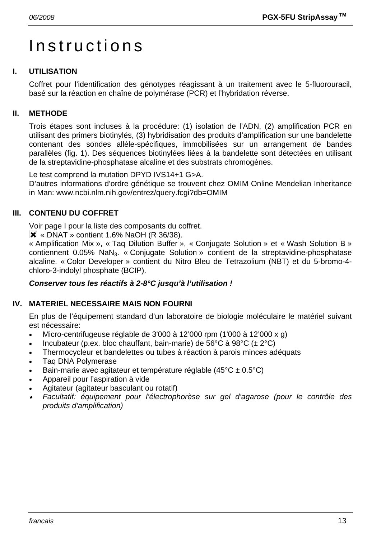# Instructions

# **I. UTILISATION**

Coffret pour l'identification des génotypes réagissant à un traitement avec le 5-fluorouracil, basé sur la réaction en chaîne de polymérase (PCR) et l'hybridation réverse.

## **II. METHODE**

Trois étapes sont incluses à la procédure: (1) isolation de l'ADN, (2) amplification PCR en utilisant des primers biotinylés, (3) hybridisation des produits d'amplification sur une bandelette contenant des sondes allèle-spécifiques, immobilisées sur un arrangement de bandes parallèles (fig. 1). Des séquences biotinylées liées à la bandelette sont détectées en utilisant de la streptavidine-phosphatase alcaline et des substrats chromogènes.

Le test comprend la mutation DPYD IVS14+1 G>A.

D'autres informations d'ordre génétique se trouvent chez OMIM Online Mendelian Inheritance in Man: www.ncbi.nlm.nih.gov/entrez/query.fcgi?db=OMIM

#### **III. CONTENU DU COFFRET**

Voir page I pour la liste des composants du coffret.

 $\overline{\mathsf{X}}$  « DNAT » contient 1.6% NaOH (R 36/38).

« Amplification Mix », « Taq Dilution Buffer », « Conjugate Solution » et « Wash Solution B » contiennent 0.05% NaN<sub>3</sub>. « Conjugate Solution » contient de la streptavidine-phosphatase alcaline. « Color Developer » contient du Nitro Bleu de Tetrazolium (NBT) et du 5-bromo-4 chloro-3-indolyl phosphate (BCIP).

#### *Conserver tous les réactifs à 2-8°C jusqu'à l'utilisation !*

#### **IV. MATERIEL NECESSAIRE MAIS NON FOURNI**

En plus de l'équipement standard d'un laboratoire de biologie moléculaire le matériel suivant est nécessaire:

- Micro-centrifugeuse réglable de 3'000 à 12'000 rpm (1'000 à 12'000 x g)
- Incubateur (p.ex. bloc chauffant, bain-marie) de 56°C à 98°C (± 2°C)
- Thermocycleur et bandelettes ou tubes à réaction à parois minces adéquats
- Taq DNA Polymerase
- Bain-marie avec agitateur et température réglable (45°C ± 0.5°C)
- Appareil pour l'aspiration à vide
- Agitateur (agitateur basculant ou rotatif)
- • *Facultatif: équipement pour l'électrophorèse sur gel d'agarose (pour le contrôle des produits d'amplification)*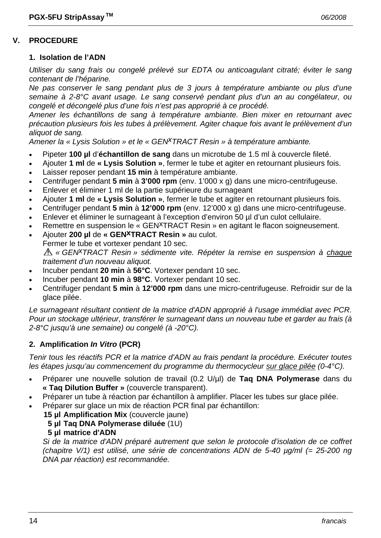#### **V. PROCEDURE**

#### **1. Isolation de l'ADN**

*Utiliser du sang frais ou congelé prélevé sur EDTA ou anticoagulant citraté; éviter le sang contenant de l'héparine.* 

*Ne pas conserver le sang pendant plus de 3 jours à température ambiante ou plus d'une semaine à 2-8°C avant usage. Le sang conservé pendant plus d'un an au congélateur, ou congelé et décongelé plus d'une fois n'est pas approprié à ce procédé.* 

*Amener les échantillons de sang à température ambiante. Bien mixer en retournant avec précaution plusieurs fois les tubes à prélèvement. Agiter chaque fois avant le prélèvement d'un aliquot de sang.* 

*Amener la « Lysis Solution » et le « GENxTRACT Resin » à température ambiante.*

- Pipeter **100 µl** d'**échantillon de sang** dans un microtube de 1.5 ml à couvercle fileté.
- Ajouter **1 ml** de **« Lysis Solution »**, fermer le tube et agiter en retournant plusieurs fois.
- Laisser reposer pendant **15 min** à température ambiante.
- Centrifuger pendant **5 min** à **3'000 rpm** (env. 1'000 x g) dans une micro-centrifugeuse.
- Enlever et éliminer 1 ml de la partie supérieure du surnageant
- Ajouter **1 ml** de **« Lysis Solution »**, fermer le tube et agiter en retournant plusieurs fois.
- Centrifuger pendant **5 min** à **12'000 rpm** (env. 12'000 x g) dans une micro-centrifugeuse.
- Enlever et éliminer le surnageant à l'exception d'environ 50 µl d'un culot cellulaire.
- Remettre en suspension le « GEN<sup>X</sup>TRACT Resin » en agitant le flacon soigneusement.
- Ajouter **200 µl** de **« GENxTRACT Resin »** au culot.
- Fermer le tube et vortexer pendant 10 sec.

*« GENxTRACT Resin » sédimente vite. Répéter la remise en suspension à chaque traitement d'un nouveau aliquot.* 

- Incuber pendant **20 min** à **56°C**. Vortexer pendant 10 sec.
- Incuber pendant **10 min** à **98°C**. Vortexer pendant 10 sec.
- Centrifuger pendant **5 min** à **12'000 rpm** dans une micro-centrifugeuse. Refroidir sur de la glace pilée.

*Le surnageant résultant contient de la matrice d'ADN approprié à l'usage immédiat avec PCR. Pour un stockage ultérieur, transférer le surnageant dans un nouveau tube et garder au frais (à 2-8°C jusqu'à une semaine) ou congelé (à -20°C).* 

#### **2. Amplification** *In Vitro* **(PCR)**

*Tenir tous les réactifs PCR et la matrice d'ADN au frais pendant la procédure. Exécuter toutes les étapes jusqu'au commencement du programme du thermocycleur sur glace pilée (0-4°C).* 

- Préparer une nouvelle solution de travail (0.2 U/µl) de **Taq DNA Polymerase** dans du **« Taq Dilution Buffer »** (couvercle transparent).
- Préparer un tube à réaction par échantillon à amplifier. Placer les tubes sur glace pilée.
- Préparer sur glace un mix de réaction PCR final par échantillon:
	- **15 µl Amplification Mix** (couvercle jaune)
		- **5 µl Taq DNA Polymerase diluée** (1U)
		- **5 µl matrice d'ADN**

 *Si de la matrice d'ADN préparé autrement que selon le protocole d'isolation de ce coffret (chapitre V/1) est utilisé, une série de concentrations ADN de 5-40 µg/ml (= 25-200 ng DNA par réaction) est recommandée.*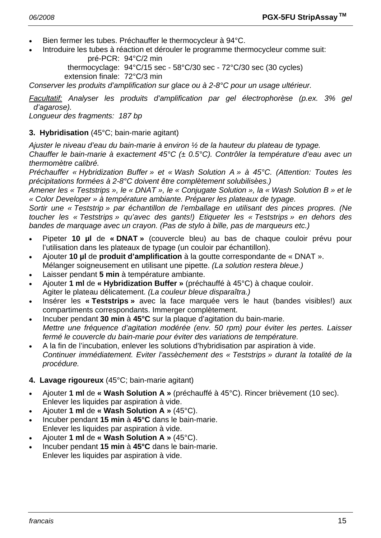- Bien fermer les tubes. Préchauffer le thermocycleur à 94°C.
- Introduire les tubes à réaction et dérouler le programme thermocycleur comme suit:

 pré-PCR: 94°C/2 min thermocyclage: 94°C/15 sec - 58°C/30 sec - 72°C/30 sec (30 cycles) extension finale: 72°C/3 min

*Conserver les produits d'amplification sur glace ou à 2-8°C pour un usage ultérieur.* 

*Facultatif: Analyser les produits d'amplification par gel électrophorèse (p.ex. 3% gel d'agarose).* 

*Longueur des fragments: 187 bp* 

#### **3. Hybridisation** (45°C; bain-marie agitant)

*Ajuster le niveau d'eau du bain-marie à environ ½ de la hauteur du plateau de typage.* 

*Chauffer le bain-marie à exactement 45°C (± 0.5°C). Contrôler la température d'eau avec un thermomètre calibré.* 

*Préchauffer « Hybridization Buffer » et « Wash Solution A » à 45°C. (Attention: Toutes les précipitations formées à 2-8°C doivent être complètement solubilisèes.)* 

*Amener les « Teststrips », le « DNAT », le « Conjugate Solution », la « Wash Solution B » et le « Color Developer » à température ambiante. Préparer les plateaux de typage.* 

*Sortir une « Teststrip » par échantillon de l'emballage en utilisant des pinces propres. (Ne toucher les « Teststrips » qu'avec des gants!) Etiqueter les « Teststrips » en dehors des bandes de marquage avec un crayon. (Pas de stylo à bille, pas de marqueurs etc.)* 

- Pipeter **10 µl** de **« DNAT »** (couvercle bleu) au bas de chaque couloir prévu pour l'utilisation dans les plateaux de typage (un couloir par échantillon).
- Ajouter **10 µl** de **produit d'amplification** à la goutte correspondante de « DNAT ». Mélanger soigneusement en utilisant une pipette. *(La solution restera bleue.)*
- Laisser pendant **5 min** à température ambiante.
- Ajouter **1 ml** de **« Hybridization Buffer »** (préchauffé à 45°C) à chaque couloir. Agiter le plateau délicatement. *(La couleur bleue disparaîtra.)*
- Insérer les **« Teststrips »** avec la face marquée vers le haut (bandes visibles!) aux compartiments correspondants. Immerger complètement.
- Incuber pendant **30 min** à **45°C** sur la plaque d'agitation du bain-marie. *Mettre une fréquence d'agitation modérée (env. 50 rpm) pour éviter les pertes. Laisser fermé le couvercle du bain-marie pour éviter des variations de température.*
- A la fin de l'incubation, enlever les solutions d'hybridisation par aspiration à vide.  *Continuer immédiatement. Eviter l'assèchement des « Teststrips » durant la totalité de la procédure.*

#### **4. Lavage rigoureux** (45°C; bain-marie agitant)

- Ajouter **1 ml** de **« Wash Solution A »** (préchauffé à 45°C). Rincer brièvement (10 sec). Enlever les liquides par aspiration à vide.
- Ajouter **1 ml** de **« Wash Solution A »** (45°C).
- Incuber pendant **15 min** à **45°C** dans le bain-marie. Enlever les liquides par aspiration à vide.
- Ajouter **1 ml** de **« Wash Solution A »** (45°C).
- Incuber pendant **15 min** à **45°C** dans le bain-marie. Enlever les liquides par aspiration à vide.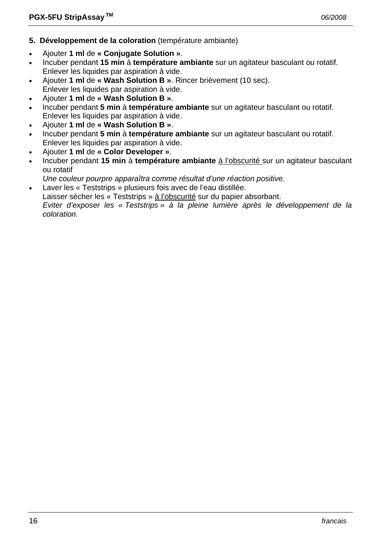- **5. Développement de la coloration** (température ambiante)
- Ajouter **1 ml** de **« Conjugate Solution »**.
- Incuber pendant **15 min** à **température ambiante** sur un agitateur basculant ou rotatif. Enlever les liquides par aspiration à vide.
- Ajouter **1 ml** de **« Wash Solution B »**. Rincer brièvement (10 sec). Enlever les liquides par aspiration à vide.
- Ajouter **1 ml** de **« Wash Solution B »**.
- Incuber pendant **5 min** à **température ambiante** sur un agitateur basculant ou rotatif. Enlever les liquides par aspiration à vide.
- Ajouter **1 ml** de **« Wash Solution B »**.
- Incuber pendant **5 min** à **température ambiante** sur un agitateur basculant ou rotatif. Enlever les liquides par aspiration à vide.
- Ajouter **1 ml** de **« Color Developer »**.
- Incuber pendant **15 min** à **température ambiante** à l'obscurité sur un agitateur basculant ou rotatif
- *Une couleur pourpre apparaîtra comme résultat d'une réaction positive.*
- Laver les « Teststrips » plusieurs fois avec de l'eau distillée.
- Laisser sécher les « Teststrips » à l'obscurité sur du papier absorbant.

 *Eviter d'exposer les « Teststrips » à la pleine lumière après le développement de la coloration.*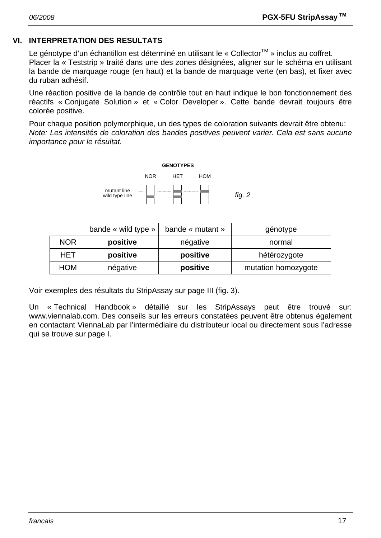#### **VI. INTERPRETATION DES RESULTATS**

Le génotype d'un échantillon est déterminé en utilisant le « Collector™ » inclus au coffret. Placer la « Teststrip » traité dans une des zones désignées, aligner sur le schéma en utilisant la bande de marquage rouge (en haut) et la bande de marquage verte (en bas), et fixer avec du ruban adhésif.

Une réaction positive de la bande de contrôle tout en haut indique le bon fonctionnement des réactifs « Conjugate Solution » et « Color Developer ». Cette bande devrait toujours être colorée positive.

Pour chaque position polymorphique, un des types de coloration suivants devrait être obtenu: *Note: Les intensités de coloration des bandes positives peuvent varier. Cela est sans aucune importance pour le résultat.* 



|            | bande « wild type » | bande « mutant »                | génotype |
|------------|---------------------|---------------------------------|----------|
| <b>NOR</b> | positive            | négative<br>normal              |          |
| HET        | positive            | positive<br>hétérozygote        |          |
| <b>HOM</b> | négative            | positive<br>mutation homozygote |          |

Voir exemples des résultats du StripAssay sur page III (fig. 3).

Un « Technical Handbook » détaillé sur les StripAssays peut être trouvé sur: www.viennalab.com. Des conseils sur les erreurs constatées peuvent être obtenus également en contactant ViennaLab par l'intermédiaire du distributeur local ou directement sous l'adresse qui se trouve sur page I.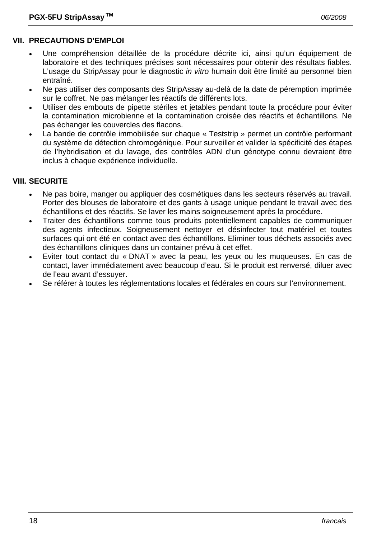#### **VII. PRECAUTIONS D'EMPLOI**

- Une compréhension détaillée de la procédure décrite ici, ainsi qu'un équipement de laboratoire et des techniques précises sont nécessaires pour obtenir des résultats fiables. L'usage du StripAssay pour le diagnostic *in vitro* humain doit être limité au personnel bien entraîné.
- Ne pas utiliser des composants des StripAssay au-delà de la date de péremption imprimée sur le coffret. Ne pas mélanger les réactifs de différents lots.
- Utiliser des embouts de pipette stériles et jetables pendant toute la procédure pour éviter la contamination microbienne et la contamination croisée des réactifs et échantillons. Ne pas échanger les couvercles des flacons.
- La bande de contrôle immobilisée sur chaque « Teststrip » permet un contrôle performant du système de détection chromogénique. Pour surveiller et valider la spécificité des étapes de l'hybridisation et du lavage, des contrôles ADN d'un génotype connu devraient être inclus à chaque expérience individuelle.

#### **VIII. SECURITE**

- Ne pas boire, manger ou appliquer des cosmétiques dans les secteurs réservés au travail. Porter des blouses de laboratoire et des gants à usage unique pendant le travail avec des échantillons et des réactifs. Se laver les mains soigneusement après la procédure.
- Traiter des échantillons comme tous produits potentiellement capables de communiquer des agents infectieux. Soigneusement nettoyer et désinfecter tout matériel et toutes surfaces qui ont été en contact avec des échantillons. Eliminer tous déchets associés avec des échantillons cliniques dans un container prévu à cet effet.
- Eviter tout contact du « DNAT » avec la peau, les yeux ou les muqueuses. En cas de contact, laver immédiatement avec beaucoup d'eau. Si le produit est renversé, diluer avec de l'eau avant d'essuyer.
- Se référer à toutes les réglementations locales et fédérales en cours sur l'environnement.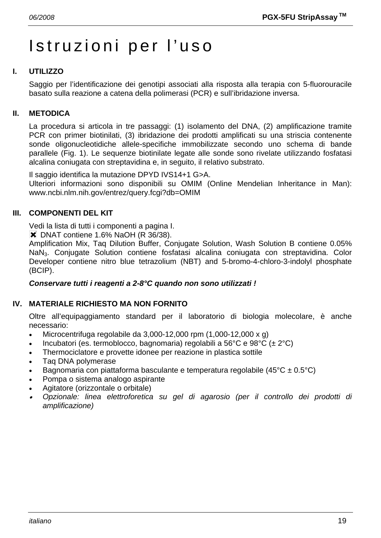# Istruzioni per l'uso

# **I. UTILIZZO**

Saggio per l'identificazione dei genotipi associati alla risposta alla terapia con 5-fluorouracile basato sulla reazione a catena della polimerasi (PCR) e sull'ibridazione inversa.

#### **II. METODICA**

La procedura si articola in tre passaggi: (1) isolamento del DNA, (2) amplificazione tramite PCR con primer biotinilati, (3) ibridazione dei prodotti amplificati su una striscia contenente sonde oligonucleotidiche allele-specifiche immobilizzate secondo uno schema di bande parallele (Fig. 1). Le sequenze biotinilate legate alle sonde sono rivelate utilizzando fosfatasi alcalina coniugata con streptavidina e, in seguito, il relativo substrato.

Il saggio identifica la mutazione DPYD IVS14+1 G>A.

Ulteriori informazioni sono disponibili su OMIM (Online Mendelian Inheritance in Man): www.ncbi.nlm.nih.gov/entrez/query.fcgi?db=OMIM

#### **III. COMPONENTI DEL KIT**

Vedi la lista di tutti i componenti a pagina I.

**X** DNAT contiene 1.6% NaOH (R 36/38).

Amplification Mix, Taq Dilution Buffer, Conjugate Solution, Wash Solution B contiene 0.05% NaN3. Conjugate Solution contiene fosfatasi alcalina coniugata con streptavidina. Color Developer contiene nitro blue tetrazolium (NBT) and 5-bromo-4-chloro-3-indolyl phosphate (BCIP).

#### *Conservare tutti i reagenti a 2-8°C quando non sono utilizzati !*

#### **IV. MATERIALE RICHIESTO MA NON FORNITO**

Oltre all'equipaggiamento standard per il laboratorio di biologia molecolare, è anche necessario:

- Microcentrifuga regolabile da  $3.000-12.000$  rpm  $(1.000-12.000 \times g)$
- Incubatori (es. termoblocco, bagnomaria) regolabili a 56°C e 98°C ( $\pm$  2°C)
- Thermociclatore e provette idonee per reazione in plastica sottile
- Taq DNA polymerase
- Bagnomaria con piattaforma basculante e temperatura regolabile (45 $\rm{°C \pm 0.5\rm{°C}}$ )
- Pompa o sistema analogo aspirante
- Agitatore (orizzontale o orbitale)
- • *Opzionale: linea elettroforetica su gel di agarosio (per il controllo dei prodotti di amplificazione)*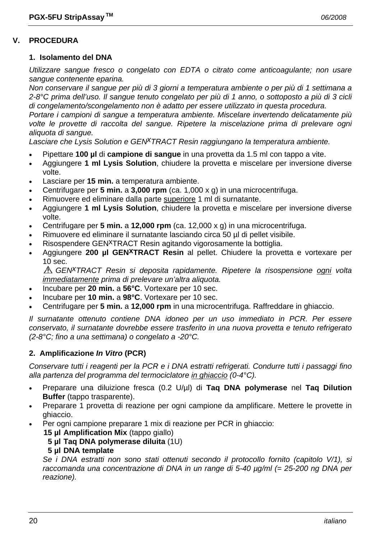#### **V. PROCEDURA**

#### **1. Isolamento del DNA**

*Utilizzare sangue fresco o congelato con EDTA o citrato come anticoagulante; non usare sangue contenente eparina.* 

*Non conservare il sangue per più di 3 giorni a temperatura ambiente o per più di 1 settimana a 2-8°C prima dell'uso. Il sangue tenuto congelato per più di 1 anno, o sottoposto a più di 3 cicli di congelamento/scongelamento non è adatto per essere utilizzato in questa procedura.* 

*Portare i campioni di sangue a temperatura ambiente. Miscelare invertendo delicatamente più volte le provette di raccolta del sangue. Ripetere la miscelazione prima di prelevare ogni aliquota di sangue.* 

*Lasciare che Lysis Solution e GENxTRACT Resin raggiungano la temperatura ambiente.*

- Pipettare **100 µl** di **campione di sangue** in una provetta da 1.5 ml con tappo a vite.
- Aggiungere **1 ml Lysis Solution**, chiudere la provetta e miscelare per inversione diverse volte.
- Lasciare per **15 min.** a temperatura ambiente.
- Centrifugare per **5 min.** a **3,000 rpm** (ca. 1,000 x g) in una microcentrifuga.
- Rimuovere ed eliminare dalla parte superiore 1 ml di surnatante.
- Aggiungere **1 ml Lysis Solution**, chiudere la provetta e miscelare per inversione diverse volte.
- Centrifugare per **5 min.** a **12,000 rpm** (ca. 12,000 x g) in una microcentrifuga.
- Rimuovere ed eliminare il surnatante lasciando circa 50 µl di pellet visibile.
- Risospendere GEN<sup>X</sup>TRACT Resin agitando vigorosamente la bottiglia.
- Aggiungere **200 µl GENxTRACT Resin** al pellet. Chiudere la provetta e vortexare per 10 sec.

*GENxTRACT Resin si deposita rapidamente. Ripetere la risospensione ogni volta immediatamente prima di prelevare un'altra aliquota.* 

- Incubare per **20 min.** a **56°C**. Vortexare per 10 sec.
- Incubare per **10 min.** a **98°C**. Vortexare per 10 sec.
- Centrifugare per **5 min.** a **12,000 rpm** in una microcentrifuga. Raffreddare in ghiaccio.

*Il surnatante ottenuto contiene DNA idoneo per un uso immediato in PCR. Per essere conservato, il surnatante dovrebbe essere trasferito in una nuova provetta e tenuto refrigerato (2-8°C; fino a una settimana) o congelato a -20°C.* 

#### **2. Amplificazione** *In Vitro* **(PCR)**

*Conservare tutti i reagenti per la PCR e i DNA estratti refrigerati. Condurre tutti i passaggi fino alla partenza del programma del termociclatore in ghiaccio (0-4°C).* 

- Preparare una diluizione fresca (0.2 U/µl) di **Taq DNA polymerase** nel **Taq Dilution Buffer** (tappo trasparente).
- Preparare 1 provetta di reazione per ogni campione da amplificare. Mettere le provette in ghiaccio.
	- Per ogni campione preparare 1 mix di reazione per PCR in ghiaccio:
		- **15 µl Amplification Mix** (tappo giallo)
			- **5 µl Taq DNA polymerase diluita** (1U)

#### **5 µl DNA template**

 *Se i DNA estratti non sono stati ottenuti secondo il protocollo fornito (capitolo V/1), si raccomanda una concentrazione di DNA in un range di 5-40 µg/ml (= 25-200 ng DNA per reazione).*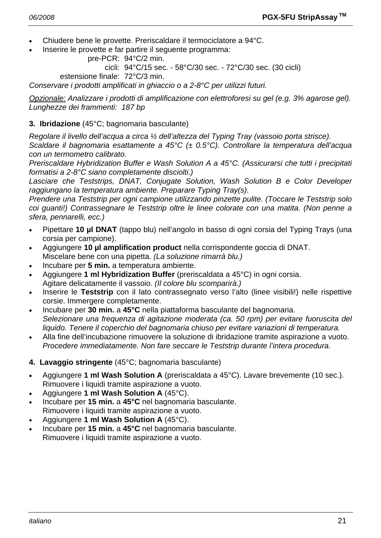- Chiudere bene le provette. Preriscaldare il termociclatore a 94°C.
- Inserire le provette e far partire il seguente programma:

```
 pre-PCR: 94°C/2 min.
```
cicli: 94°C/15 sec. - 58°C/30 sec. - 72°C/30 sec. (30 cicli)

estensione finale: 72°C/3 min.

*Conservare i prodotti amplificati in ghiaccio o a 2-8°C per utilizzi futuri.* 

*Opzionale: Analizzare i prodotti di amplificazione con elettroforesi su gel (e.g. 3% agarose gel). Lunghezze dei frammenti: 187 bp* 

#### **3. Ibridazione** (45°C; bagnomaria basculante)

*Regolare il livello dell'acqua a circa ½ dell'altezza del Typing Tray (vassoio porta strisce).* 

*Scaldare il bagnomaria esattamente a 45°C (± 0.5°C). Controllare la temperatura dell'acqua con un termometro calibrato.* 

*Preriscaldare Hybridization Buffer e Wash Solution A a 45°C. (Assicurarsi che tutti i precipitati formatisi a 2-8°C siano completamente disciolti.)* 

*Lasciare che Teststrips, DNAT, Conjugate Solution, Wash Solution B e Color Developer raggiungano la temperatura ambiente. Preparare Typing Tray(s).* 

*Prendere una Teststrip per ogni campione utilizzando pinzette pulite. (Toccare le Teststrip solo coi guanti!) Contrassegnare le Teststrip oltre le linee colorate con una matita. (Non penne a sfera, pennarelli, ecc.)* 

- Pipettare **10 µl DNAT** (tappo blu) nell'angolo in basso di ogni corsia del Typing Trays (una corsia per campione).
- Aggiungere **10 µl amplification product** nella corrispondente goccia di DNAT. Miscelare bene con una pipetta. *(La soluzione rimarrà blu.)*
- Incubare per **5 min.** a temperatura ambiente.
- Aggiungere **1 ml Hybridization Buffer** (preriscaldata a 45°C) in ogni corsia. Agitare delicatamente il vassoio. *(Il colore blu scomparirà.)*
- Inserire le **Teststrip** con il lato contrassegnato verso l'alto (linee visibili!) nelle rispettive corsie. Immergere completamente.
- Incubare per **30 min.** a **45°C** nella piattaforma basculante del bagnomaria.  *Selezionare una frequenza di agitazione moderata (ca. 50 rpm) per evitare fuoruscita del liquido. Tenere il coperchio del bagnomaria chiuso per evitare variazioni di temperatura.*
- Alla fine dell'incubazione rimuovere la soluzione di ibridazione tramite aspirazione a vuoto.  *Procedere immediatamente. Non fare seccare le Teststrip durante l'intera procedura.*
- **4. Lavaggio stringente** (45°C; bagnomaria basculante)
- Aggiungere **1 ml Wash Solution A** (preriscaldata a 45°C). Lavare brevemente (10 sec.). Rimuovere i liquidi tramite aspirazione a vuoto.
- Aggiungere **1 ml Wash Solution A** (45°C).
- Incubare per **15 min.** a **45°C** nel bagnomaria basculante. Rimuovere i liquidi tramite aspirazione a vuoto.
- Aggiungere **1 ml Wash Solution A** (45°C).
- Incubare per **15 min.** a **45°C** nel bagnomaria basculante. Rimuovere i liquidi tramite aspirazione a vuoto.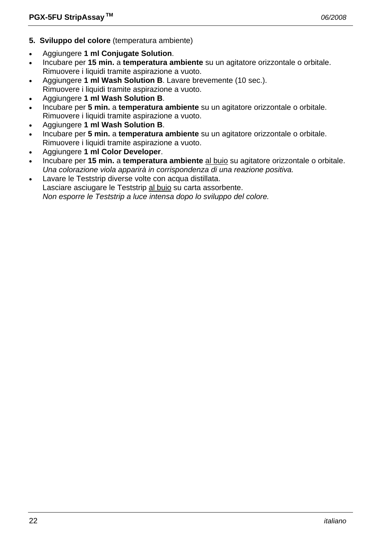- **5. Sviluppo del colore** (temperatura ambiente)
- Aggiungere **1 ml Conjugate Solution**.
- Incubare per **15 min.** a **temperatura ambiente** su un agitatore orizzontale o orbitale. Rimuovere i liquidi tramite aspirazione a vuoto.
- Aggiungere **1 ml Wash Solution B**. Lavare brevemente (10 sec.). Rimuovere i liquidi tramite aspirazione a vuoto.
- Aggiungere **1 ml Wash Solution B**.
- Incubare per **5 min.** a **temperatura ambiente** su un agitatore orizzontale o orbitale. Rimuovere i liquidi tramite aspirazione a vuoto.
- Aggiungere **1 ml Wash Solution B**.
- Incubare per **5 min.** a **temperatura ambiente** su un agitatore orizzontale o orbitale. Rimuovere i liquidi tramite aspirazione a vuoto.
- Aggiungere **1 ml Color Developer**.
- Incubare per **15 min.** a **temperatura ambiente** al buio su agitatore orizzontale o orbitale.  *Una colorazione viola apparirà in corrispondenza di una reazione positiva.*
- Lavare le Teststrip diverse volte con acqua distillata. Lasciare asciugare le Teststrip al buio su carta assorbente.  *Non esporre le Teststrip a luce intensa dopo lo sviluppo del colore.*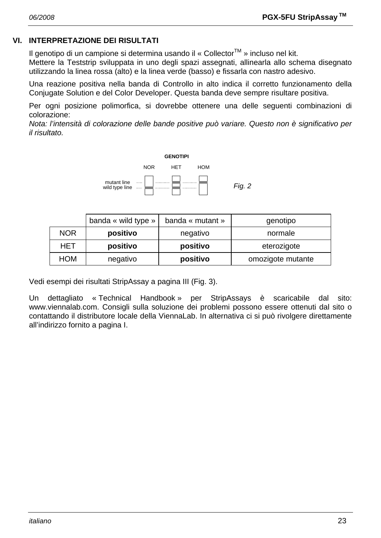# **VI. INTERPRETAZIONE DEI RISULTATI**

Il genotipo di un campione si determina usando il « Collector<sup>TM</sup> » incluso nel kit.

Mettere la Teststrip sviluppata in uno degli spazi assegnati, allinearla allo schema disegnato utilizzando la linea rossa (alto) e la linea verde (basso) e fissarla con nastro adesivo.

Una reazione positiva nella banda di Controllo in alto indica il corretto funzionamento della Conjugate Solution e del Color Developer. Questa banda deve sempre risultare positiva.

Per ogni posizione polimorfica, si dovrebbe ottenere una delle seguenti combinazioni di colorazione:

*Nota: l'intensità di colorazione delle bande positive può variare. Questo non è significativo per il risultato.* 



|            | banda « wild type »                 | banda « mutant » | genotipo          |
|------------|-------------------------------------|------------------|-------------------|
| <b>NOR</b> | positivo                            | negativo         | normale           |
| HET        | positivo<br>positivo<br>eterozigote |                  |                   |
| <b>HOM</b> | negativo                            | positivo         | omozigote mutante |

Vedi esempi dei risultati StripAssay a pagina III (Fig. 3).

Un dettagliato « Technical Handbook » per StripAssays è scaricabile dal sito: www.viennalab.com. Consigli sulla soluzione dei problemi possono essere ottenuti dal sito o contattando il distributore locale della ViennaLab. In alternativa ci si può rivolgere direttamente all'indirizzo fornito a pagina I.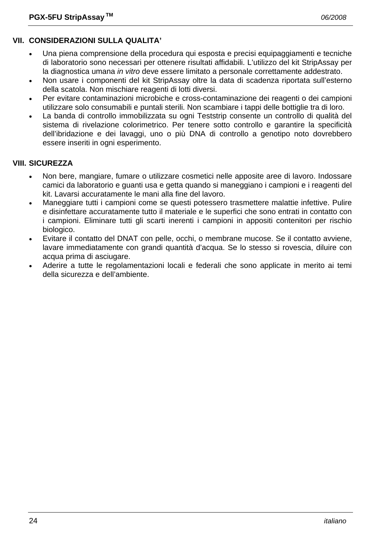# **VII. CONSIDERAZIONI SULLA QUALITA'**

- Una piena comprensione della procedura qui esposta e precisi equipaggiamenti e tecniche di laboratorio sono necessari per ottenere risultati affidabili. L'utilizzo del kit StripAssay per la diagnostica umana *in vitro* deve essere limitato a personale correttamente addestrato.
- Non usare i componenti del kit StripAssay oltre la data di scadenza riportata sull'esterno della scatola. Non mischiare reagenti di lotti diversi.
- Per evitare contaminazioni microbiche e cross-contaminazione dei reagenti o dei campioni utilizzare solo consumabili e puntali sterili. Non scambiare i tappi delle bottiglie tra di loro.
- La banda di controllo immobilizzata su ogni Teststrip consente un controllo di qualità del sistema di rivelazione colorimetrico. Per tenere sotto controllo e garantire la specificità dell'ibridazione e dei lavaggi, uno o più DNA di controllo a genotipo noto dovrebbero essere inseriti in ogni esperimento.

# **VIII. SICUREZZA**

- Non bere, mangiare, fumare o utilizzare cosmetici nelle apposite aree di lavoro. Indossare camici da laboratorio e guanti usa e getta quando si maneggiano i campioni e i reagenti del kit. Lavarsi accuratamente le mani alla fine del lavoro.
- Maneggiare tutti i campioni come se questi potessero trasmettere malattie infettive. Pulire e disinfettare accuratamente tutto il materiale e le superfici che sono entrati in contatto con i campioni. Eliminare tutti gli scarti inerenti i campioni in appositi contenitori per rischio biologico.
- Evitare il contatto del DNAT con pelle, occhi, o membrane mucose. Se il contatto avviene, lavare immediatamente con grandi quantità d'acqua. Se lo stesso si rovescia, diluire con acqua prima di asciugare.
- Aderire a tutte le regolamentazioni locali e federali che sono applicate in merito ai temi della sicurezza e dell'ambiente.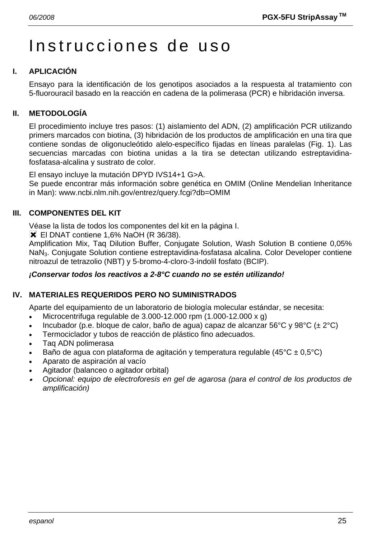# Instrucciones de uso

# **I. APLICACIÓN**

Ensayo para la identificación de los genotipos asociados a la respuesta al tratamiento con 5-fluorouracil basado en la reacción en cadena de la polimerasa (PCR) e hibridación inversa.

# **II. METODOLOGÍA**

El procedimiento incluye tres pasos: (1) aislamiento del ADN, (2) amplificación PCR utilizando primers marcados con biotina, (3) hibridación de los productos de amplificación en una tira que contiene sondas de oligonucleótido alelo-específico fijadas en líneas paralelas (Fig. 1). Las secuencias marcadas con biotina unidas a la tira se detectan utilizando estreptavidinafosfatasa-alcalina y sustrato de color.

El ensayo incluye la mutación DPYD IVS14+1 G>A.

Se puede encontrar más información sobre genética en OMIM (Online Mendelian Inheritance in Man): www.ncbi.nlm.nih.gov/entrez/query.fcgi?db=OMIM

# **III. COMPONENTES DEL KIT**

Véase la lista de todos los componentes del kit en la página I.

**X** El DNAT contiene 1,6% NaOH (R 36/38).

Amplification Mix, Taq Dilution Buffer, Conjugate Solution, Wash Solution B contiene 0,05% NaN3. Conjugate Solution contiene estreptavidina-fosfatasa alcalina. Color Developer contiene nitroazul de tetrazolio (NBT) y 5-bromo-4-cloro-3-indolil fosfato (BCIP).

#### *¡Conservar todos los reactivos a 2-8°C cuando no se estén utilizando!*

# **IV. MATERIALES REQUERIDOS PERO NO SUMINISTRADOS**

Aparte del equipamiento de un laboratorio de biología molecular estándar, se necesita:

- Microcentrifuga regulable de 3.000-12.000 rpm (1.000-12.000 x g)
- Incubador (p.e. bloque de calor, baño de agua) capaz de alcanzar 56°C y 98°C (± 2°C)
- Termociclador y tubos de reacción de plástico fino adecuados.
- Taq ADN polimerasa
- Baño de agua con plataforma de agitación y temperatura regulable (45 $^{\circ}$ C ± 0,5 $^{\circ}$ C)
- Aparato de aspiración al vacío
- Agitador (balanceo o agitador orbital)
- • *Opcional: equipo de electroforesis en gel de agarosa (para el control de los productos de amplificación)*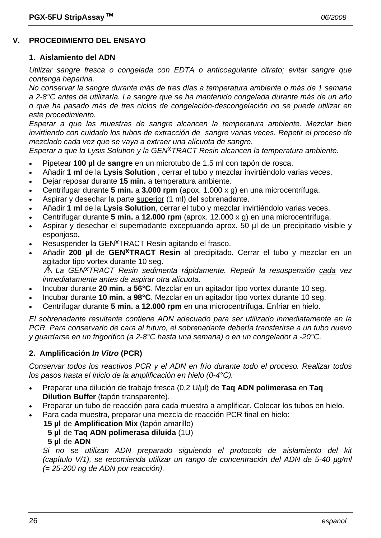# **V. PROCEDIMIENTO DEL ENSAYO**

#### **1. Aislamiento del ADN**

*Utilizar sangre fresca o congelada con EDTA o anticoagulante citrato; evitar sangre que contenga heparina.* 

*No conservar la sangre durante más de tres días a temperatura ambiente o más de 1 semana a 2-8°C antes de utilizarla. La sangre que se ha mantenido congelada durante más de un año o que ha pasado más de tres ciclos de congelación-descongelación no se puede utilizar en este procedimiento.* 

*Esperar a que las muestras de sangre alcancen la temperatura ambiente. Mezclar bien invirtiendo con cuidado los tubos de extracción de sangre varias veces. Repetir el proceso de mezclado cada vez que se vaya a extraer una alícuota de sangre.* 

*Esperar a que la Lysis Solution y la GENxTRACT Resin alcancen la temperatura ambiente.*

- Pipetear **100 µl** de **sangre** en un microtubo de 1,5 ml con tapón de rosca.
- Añadir **1 ml** de la **Lysis Solution** , cerrar el tubo y mezclar invirtiéndolo varias veces.
- Dejar reposar durante **15 min.** a temperatura ambiente.
- Centrifugar durante **5 min.** a **3.000 rpm** (apox. 1.000 x g) en una microcentrífuga.
- Aspirar y desechar la parte superior (1 ml) del sobrenadante.
- Añadir **1 ml** de la **Lysis Solution**, cerrar el tubo y mezclar invirtiéndolo varias veces.
- Centrifugar durante **5 min.** a **12.000 rpm** (aprox. 12.000 x g) en una microcentrífuga.
- Aspirar y desechar el supernadante exceptuando aprox. 50 µl de un precipitado visible y esponjoso.
- Resuspender la GEN<sup>X</sup>TRACT Resin agitando el frasco.
- Añadir **200 µl** de **GENxTRACT Resin** al precipitado. Cerrar el tubo y mezclar en un agitador tipo vortex durante 10 seg.

*La GENxTRACT Resin sedimenta rápidamente. Repetir la resuspensión cada vez inmediatamente antes de aspirar otra alícuota.* 

- Incubar durante **20 min.** a **56°C**. Mezclar en un agitador tipo vortex durante 10 seg.
- Incubar durante **10 min.** a **98°C**. Mezclar en un agitador tipo vortex durante 10 seg.
- Centrifugar durante **5 min.** a **12.000 rpm** en una microcentrífuga. Enfriar en hielo.

*El sobrenadante resultante contiene ADN adecuado para ser utilizado inmediatamente en la PCR. Para conservarlo de cara al futuro, el sobrenadante debería transferirse a un tubo nuevo y guardarse en un frigorífico (a 2-8°C hasta una semana) o en un congelador a -20°C.* 

#### **2. Amplificación** *In Vitro* **(PCR)**

*Conservar todos los reactivos PCR y el ADN en frío durante todo el proceso. Realizar todos los pasos hasta el inicio de la amplificación en hielo (0-4°C).* 

- Preparar una dilución de trabajo fresca (0,2 U/µl) de **Taq ADN polimerasa** en **Taq Dilution Buffer** (tapón transparente).
- Preparar un tubo de reacción para cada muestra a amplificar. Colocar los tubos en hielo.
- Para cada muestra, preparar una mezcla de reacción PCR final en hielo:
	- **15 µl** de **Amplification Mix** (tapón amarillo)
		- **5 µl** de **Taq ADN polimerasa diluida** (1U)
		- **5 µl** de **ADN**

 *Si no se utilizan ADN preparado siguiendo el protocolo de aislamiento del kit (capítulo V/1), se recomienda utilizar un rango de concentración del ADN de 5-40 µg/ml (= 25-200 ng de ADN por reacción).*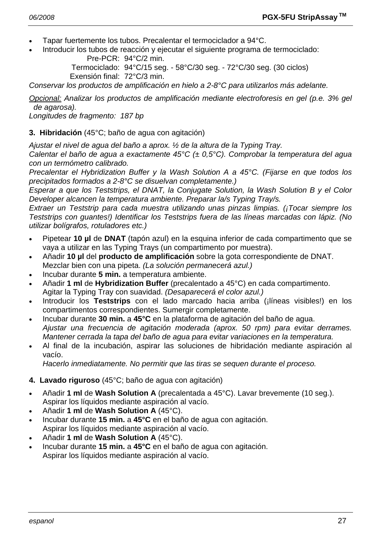- Tapar fuertemente los tubos. Precalentar el termociclador a 94°C.
- Introducir los tubos de reacción y ejecutar el siguiente programa de termociclado: Pre-PCR: 94°C/2 min.

 Termociclado: 94°C/15 seg. - 58°C/30 seg. - 72°C/30 seg. (30 ciclos) Exensión final: 72°C/3 min.

*Conservar los productos de amplificación en hielo a 2-8°C para utilizarlos más adelante.* 

*Opcional: Analizar los productos de amplificación mediante electroforesis en gel (p.e. 3% gel de agarosa).* 

*Longitudes de fragmento: 187 bp* 

#### **3. Hibridación** (45°C; baño de agua con agitación)

*Ajustar el nivel de agua del baño a aprox. ½ de la altura de la Typing Tray.* 

*Calentar el baño de agua a exactamente 45°C (± 0,5°C). Comprobar la temperatura del agua con un termómetro calibrado.* 

*Precalentar el Hybridization Buffer y la Wash Solution A a 45°C. (Fijarse en que todos los precipitados formados a 2-8°C se disuelvan completamente.)* 

*Esperar a que los Teststrips, el DNAT, la Conjugate Solution, la Wash Solution B y el Color Developer alcancen la temperatura ambiente. Preparar la/s Typing Tray/s.* 

*Extraer un Teststrip para cada muestra utilizando unas pinzas limpias. (¡Tocar siempre los Teststrips con guantes!) Identificar los Teststrips fuera de las líneas marcadas con lápiz. (No utilizar bolígrafos, rotuladores etc.)* 

- Pipetear **10 µl** de **DNAT** (tapón azul) en la esquina inferior de cada compartimento que se vaya a utilizar en las Typing Trays (un compartimento por muestra).
- Añadir **10 µl** del **producto de amplificación** sobre la gota correspondiente de DNAT. Mezclar bien con una pipeta. *(La solución permanecerá azul.)*
- Incubar durante **5 min.** a temperatura ambiente.
- Añadir **1 ml** de **Hybridization Buffer** (precalentado a 45°C) en cada compartimento. Agitar la Typing Tray con suavidad. *(Desaparecerá el color azul.)*
- Introducir los **Teststrips** con el lado marcado hacia arriba (¡líneas visibles!) en los compartimentos correspondientes. Sumergir completamente.
- Incubar durante **30 min.** a **45°C** en la plataforma de agitación del baño de agua.  *Ajustar una frecuencia de agitación moderada (aprox. 50 rpm) para evitar derrames. Mantener cerrada la tapa del baño de agua para evitar variaciones en la temperatura.*
- Al final de la incubación, aspirar las soluciones de hibridación mediante aspiración al vacío.

 *Hacerlo inmediatamente. No permitir que las tiras se sequen durante el proceso.* 

- **4. Lavado riguroso** (45°C; baño de agua con agitación)
- Añadir **1 ml** de **Wash Solution A** (precalentada a 45°C). Lavar brevemente (10 seg.). Aspirar los líquidos mediante aspiración al vacío.
- Añadir **1 ml** de **Wash Solution A** (45°C).
- Incubar durante **15 min.** a **45°C** en el baño de agua con agitación. Aspirar los líquidos mediante aspiración al vacío.
- Añadir **1 ml** de **Wash Solution A** (45°C).
- Incubar durante **15 min.** a **45°C** en el baño de agua con agitación. Aspirar los líquidos mediante aspiración al vacío.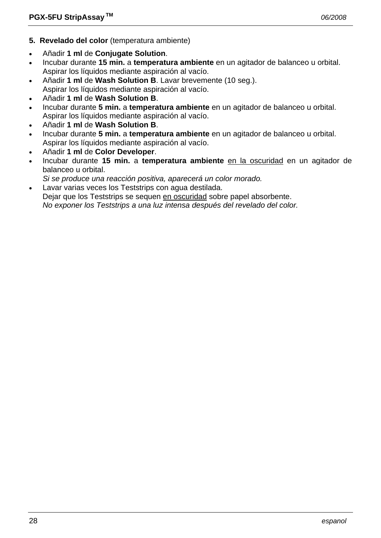- **5. Revelado del color** (temperatura ambiente)
- Añadir **1 ml** de **Conjugate Solution**.
- Incubar durante **15 min.** a **temperatura ambiente** en un agitador de balanceo u orbital. Aspirar los líquidos mediante aspiración al vacío.
- Añadir **1 ml** de **Wash Solution B**. Lavar brevemente (10 seg.).
- Aspirar los líquidos mediante aspiración al vacío.
- Añadir **1 ml** de **Wash Solution B**.
- Incubar durante **5 min.** a **temperatura ambiente** en un agitador de balanceo u orbital. Aspirar los líquidos mediante aspiración al vacío.
- Añadir **1 ml** de **Wash Solution B**.
- Incubar durante **5 min.** a **temperatura ambiente** en un agitador de balanceo u orbital. Aspirar los líquidos mediante aspiración al vacío.
- Añadir **1 ml** de **Color Developer**.
- Incubar durante **15 min.** a **temperatura ambiente** en la oscuridad en un agitador de balanceo u orbital.
- *Si se produce una reacción positiva, aparecerá un color morado.*
- Lavar varias veces los Teststrips con agua destilada. Dejar que los Teststrips se sequen en oscuridad sobre papel absorbente.  *No exponer los Teststrips a una luz intensa después del revelado del color.*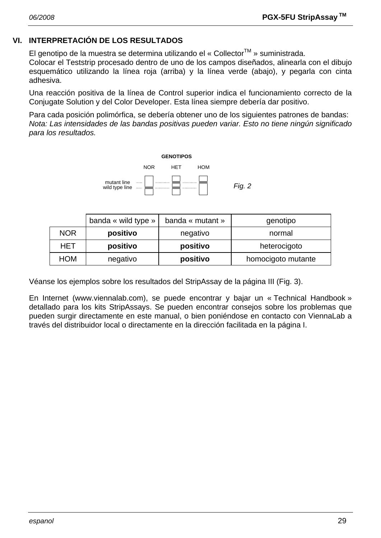# **VI. INTERPRETACIÓN DE LOS RESULTADOS**

El genotipo de la muestra se determina utilizando el « Collector<sup>™</sup> » suministrada.

Colocar el Teststrip procesado dentro de uno de los campos diseñados, alinearla con el dibujo esquemático utilizando la línea roja (arriba) y la línea verde (abajo), y pegarla con cinta adhesiva.

Una reacción positiva de la línea de Control superior indica el funcionamiento correcto de la Conjugate Solution y del Color Developer. Esta línea siempre debería dar positivo.

Para cada posición polimórfica, se debería obtener uno de los siguientes patrones de bandas: *Nota: Las intensidades de las bandas positivas pueden variar. Esto no tiene ningún significado para los resultados.* 



|            | banda « wild type » | banda « mutant » | genotipo           |  |
|------------|---------------------|------------------|--------------------|--|
| <b>NOR</b> | positivo            | negativo         | normal             |  |
| HET        | positivo            | positivo         | heterocigoto       |  |
| <b>HOM</b> | negativo            | positivo         | homocigoto mutante |  |

Véanse los ejemplos sobre los resultados del StripAssay de la página III (Fig. 3).

En Internet (www.viennalab.com), se puede encontrar y bajar un « Technical Handbook » detallado para los kits StripAssays. Se pueden encontrar consejos sobre los problemas que pueden surgir directamente en este manual, o bien poniéndose en contacto con ViennaLab a través del distribuidor local o directamente en la dirección facilitada en la página I.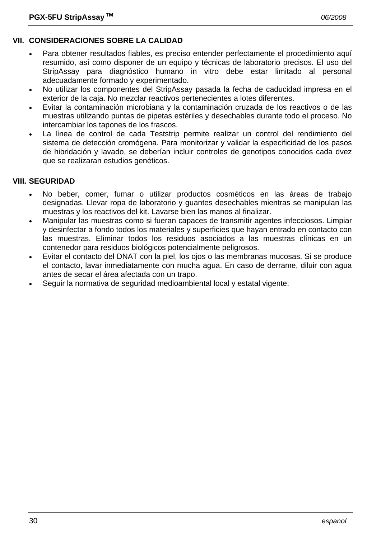# **VII. CONSIDERACIONES SOBRE LA CALIDAD**

- Para obtener resultados fiables, es preciso entender perfectamente el procedimiento aquí resumido, así como disponer de un equipo y técnicas de laboratorio precisos. El uso del StripAssay para diagnóstico humano in vitro debe estar limitado al personal adecuadamente formado y experimentado.
- No utilizar los componentes del StripAssay pasada la fecha de caducidad impresa en el exterior de la caja. No mezclar reactivos pertenecientes a lotes diferentes.
- Evitar la contaminación microbiana y la contaminación cruzada de los reactivos o de las muestras utilizando puntas de pipetas estériles y desechables durante todo el proceso. No intercambiar los tapones de los frascos.
- La línea de control de cada Teststrip permite realizar un control del rendimiento del sistema de detección cromógena. Para monitorizar y validar la especificidad de los pasos de hibridación y lavado, se deberían incluir controles de genotipos conocidos cada dvez que se realizaran estudios genéticos.

# **VIII. SEGURIDAD**

- No beber, comer, fumar o utilizar productos cosméticos en las áreas de trabajo designadas. Llevar ropa de laboratorio y guantes desechables mientras se manipulan las muestras y los reactivos del kit. Lavarse bien las manos al finalizar.
- Manipular las muestras como si fueran capaces de transmitir agentes infecciosos. Limpiar y desinfectar a fondo todos los materiales y superficies que hayan entrado en contacto con las muestras. Eliminar todos los residuos asociados a las muestras clínicas en un contenedor para residuos biológicos potencialmente peligrosos.
- Evitar el contacto del DNAT con la piel, los ojos o las membranas mucosas. Si se produce el contacto, lavar inmediatamente con mucha agua. En caso de derrame, diluir con agua antes de secar el área afectada con un trapo.
- Seguir la normativa de seguridad medioambiental local y estatal vigente.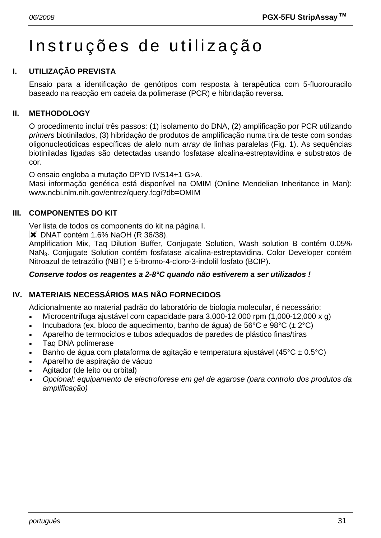# Instruções de utilização

# **I. UTILIZAÇÃO PREVISTA**

Ensaio para a identificação de genótipos com resposta à terapêutica com 5-fluorouracilo baseado na reacção em cadeia da polimerase (PCR) e hibridação reversa.

## **II. METHODOLOGY**

O procedimento incluí três passos: (1) isolamento do DNA, (2) amplificação por PCR utilizando *primers* biotinilados, (3) hibridação de produtos de amplificação numa tira de teste com sondas oligonucleotidicas específicas de alelo num *array* de linhas paralelas (Fig. 1). As sequências biotiniladas ligadas são detectadas usando fosfatase alcalina-estreptavidina e substratos de cor.

O ensaio engloba a mutação DPYD IVS14+1 G>A.

Masi informação genética está disponível na OMIM (Online Mendelian Inheritance in Man): www.ncbi.nlm.nih.gov/entrez/query.fcgi?db=OMIM

#### **III. COMPONENTES DO KIT**

Ver lista de todos os components do kit na página I.

 $\blacktriangleright$  DNAT contém 1.6% NaOH (R 36/38).

Amplification Mix, Taq Dilution Buffer, Conjugate Solution, Wash solution B contém 0.05% NaN3. Conjugate Solution contém fosfatase alcalina-estreptavidina. Color Developer contém Nitroazul de tetrazólio (NBT) e 5-bromo-4-cloro-3-indolil fosfato (BCIP).

#### *Conserve todos os reagentes a 2-8°C quando não estiverem a ser utilizados !*

# **IV. MATERIAIS NECESSÁRIOS MAS NÃO FORNECIDOS**

Adicionalmente ao material padrão do laboratório de biologia molecular, é necessário:

- Microcentrífuga ajustável com capacidade para 3,000-12,000 rpm (1,000-12,000 x g)
- Incubadora (ex. bloco de aquecimento, banho de água) de 56°C e 98°C ( $\pm$  2°C)
- Aparelho de termociclos e tubos adequados de paredes de plástico finas/tiras
- Taq DNA polimerase
- Banho de água com plataforma de agitação e temperatura ajustável (45 $^{\circ}$ C ± 0.5 $^{\circ}$ C)
- Aparelho de aspiração de vácuo
- Agitador (de leito ou orbital)
- • *Opcional: equipamento de electroforese em gel de agarose (para controlo dos produtos da amplificação)*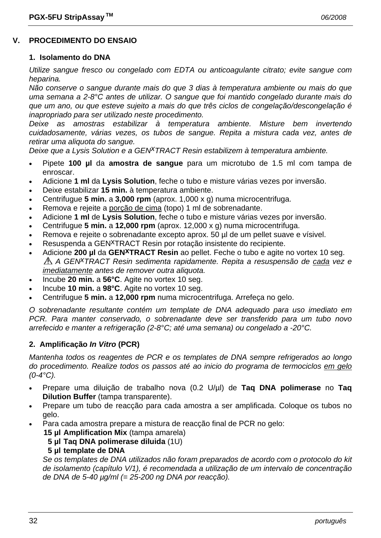# **V. PROCEDIMENTO DO ENSAIO**

#### **1. Isolamento do DNA**

*Utilize sangue fresco ou congelado com EDTA ou anticoagulante citrato; evite sangue com heparina.* 

*Não conserve o sangue durante mais do que 3 dias à temperatura ambiente ou mais do que uma semana a 2-8°C antes de utilizar. O sangue que foi mantido congelado durante mais do que um ano, ou que esteve sujeito a mais do que três ciclos de congelação/descongelação é inapropriado para ser utilizado neste procedimento.* 

*Deixe as amostras estabilizar à temperatura ambiente. Misture bem invertendo cuidadosamente, várias vezes, os tubos de sangue. Repita a mistura cada vez, antes de retirar uma aliquota do sangue.* 

*Deixe que a Lysis Solution e a GENxTRACT Resin estabilizem à temperatura ambiente.*

- Pipete **100 µl** da **amostra de sangue** para um microtubo de 1.5 ml com tampa de enroscar.
- Adicione **1 ml** da **Lysis Solution**, feche o tubo e misture várias vezes por inversão.
- Deixe estabilizar **15 min.** à temperatura ambiente.
- Centrifugue **5 min.** a **3,000 rpm** (aprox. 1,000 x g) numa microcentrifuga.
- Remova e rejeite a porção de cima (topo) 1 ml de sobrenadante.
- Adicione **1 ml** de **Lysis Solution**, feche o tubo e misture várias vezes por inversão.
- Centrifugue **5 min.** a **12,000 rpm** (aprox. 12,000 x g) numa microcentrifuga.
- Remova e rejeite o sobrenadante excepto aprox. 50 µl de um pellet suave e vísivel.
- Resuspenda a GEN<sup>X</sup>TRACT Resin por rotação insistente do recipiente.
- Adicione **200 µl** da **GENxTRACT Resin** ao pellet. Feche o tubo e agite no vortex 10 seg. *A GENxTRACT Resin sedimenta rapidamente. Repita a resuspensão de cada vez e imediatamente antes de remover outra aliquota.*
- Incube **20 min.** a **56°C**. Agite no vortex 10 seg.
- Incube **10 min.** a **98°C**. Agite no vortex 10 seg.
- Centrifugue **5 min.** a **12,000 rpm** numa microcentrifuga. Arrefeça no gelo.

*O sobrenadante resultante contém um template de DNA adequado para uso imediato em PCR. Para manter conservado, o sobrenadante deve ser transferido para um tubo novo arrefecido e manter a refrigeração (2-8°C; até uma semana) ou congelado a -20°C.* 

#### **2. Amplificação** *In Vitro* **(PCR)**

*Mantenha todos os reagentes de PCR e os templates de DNA sempre refrigerados ao longo do procedimento. Realize todos os passos até ao inicio do programa de termociclos em gelo (0-4°C).* 

- Prepare uma diluição de trabalho nova (0.2 U/µl) de **Taq DNA polimerase** no **Taq Dilution Buffer** (tampa transparente).
- Prepare um tubo de reacção para cada amostra a ser amplificada. Coloque os tubos no gelo.
	- Para cada amostra prepare a mistura de reacção final de PCR no gelo:
		- **15 µl Amplification Mix** (tampa amarela)
			- **5 µl Taq DNA polimerase diluida** (1U)

#### **5 µl template de DNA**

 *Se os templates de DNA utilizados não foram preparados de acordo com o protocolo do kit de isolamento (capítulo V/1), é recomendada a utilização de um intervalo de concentração de DNA de 5-40 µg/ml (= 25-200 ng DNA por reacção).*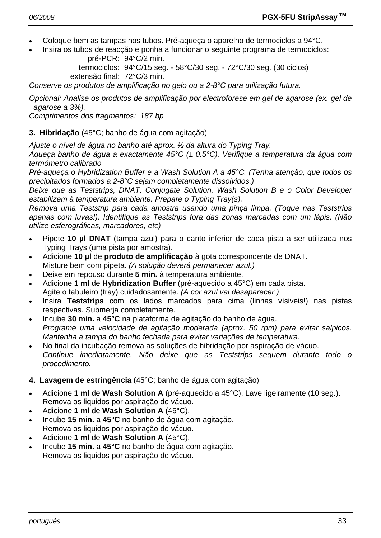- Coloque bem as tampas nos tubos. Pré-aqueça o aparelho de termociclos a 94°C.
- Insira os tubos de reacção e ponha a funcionar o seguinte programa de termociclos: pré-PCR: 94°C/2 min.

 termociclos: 94°C/15 seg. - 58°C/30 seg. - 72°C/30 seg. (30 ciclos) extensão final: 72°C/3 min.

*Conserve os produtos de amplificação no gelo ou a 2-8°C para utilização futura.* 

*Opcional: Analise os produtos de amplificação por electroforese em gel de agarose (ex. gel de agarose a 3%).* 

*Comprimentos dos fragmentos: 187 bp* 

#### **3. Hibridação** (45°C; banho de água com agitação)

*Ajuste o nível de água no banho até aprox. ½ da altura do Typing Tray.* 

*Aqueça banho de água a exactamente 45°C (± 0.5°C). Verifique a temperatura da água com termómetro calibrado* 

*Pré-aqueça o Hybridization Buffer e a Wash Solution A a 45°C. (Tenha atenção, que todos os precipitados formados a 2-8°C sejam completamente dissolvidos.)* 

*Deixe que as Teststrips, DNAT, Conjugate Solution, Wash Solution B e o Color Developer estabilizem à temperatura ambiente. Prepare o Typing Tray(s).* 

*Remova uma Teststrip para cada amostra usando uma pinça limpa. (Toque nas Teststrips apenas com luvas!). Identifique as Teststrips fora das zonas marcadas com um lápis. (Não utilize esferográficas, marcadores, etc)* 

- Pipete **10 µl DNAT** (tampa azul) para o canto inferior de cada pista a ser utilizada nos Typing Trays (uma pista por amostra).
- Adicione **10 µl** de **produto de amplificação** à gota correspondente de DNAT. Misture bem com pipeta. *(A solução deverá permanecer azul.)*
- Deixe em repouso durante **5 min.** à temperatura ambiente.
- Adicione **1 ml** de **Hybridization Buffer** (pré-aquecido a 45°C) em cada pista. Agite o tabuleiro (tray) cuidadosamente. *(A cor azul vai desaparecer.)*
- Insira **Teststrips** com os lados marcados para cima (linhas vísiveis!) nas pistas respectivas. Submerja completamente.
- Incube **30 min.** a **45°C** na plataforma de agitação do banho de água.  *Programe uma velocidade de agitação moderada (aprox. 50 rpm) para evitar salpicos. Mantenha a tampa do banho fechada para evitar variações de temperatura.*
- No final da incubação remova as soluções de hibridação por aspiração de vácuo.  *Continue imediatamente. Não deixe que as Teststrips sequem durante todo o procedimento.*

#### **4. Lavagem de estringência** (45°C; banho de água com agitação)

- Adicione **1 ml** de **Wash Solution A** (pré-aquecido a 45°C). Lave ligeiramente (10 seg.). Remova os liquidos por aspiração de vácuo.
- Adicione **1 ml** de **Wash Solution A** (45°C).
- Incube **15 min.** a **45°C** no banho de água com agitação. Remova os liquidos por aspiração de vácuo.
- Adicione **1 ml** de **Wash Solution A** (45°C).
- Incube **15 min.** a **45°C** no banho de água com agitação. Remova os liquidos por aspiração de vácuo.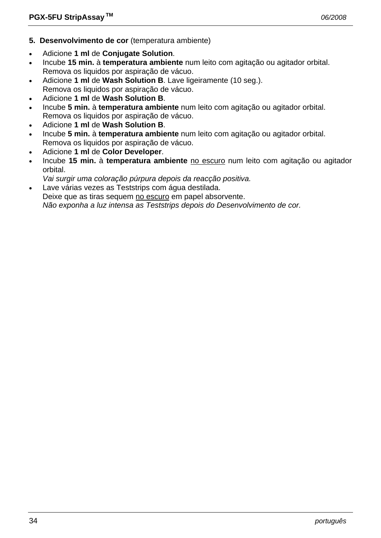- **5. Desenvolvimento de cor** (temperatura ambiente)
- Adicione **1 ml** de **Conjugate Solution**.
- Incube **15 min.** à **temperatura ambiente** num leito com agitação ou agitador orbital. Remova os liquidos por aspiração de vácuo.
- Adicione **1 ml** de **Wash Solution B**. Lave ligeiramente (10 seg.). Remova os liquidos por aspiração de vácuo.
- Adicione **1 ml** de **Wash Solution B**.
- Incube **5 min.** à **temperatura ambiente** num leito com agitação ou agitador orbital. Remova os liquidos por aspiração de vácuo.
- Adicione **1 ml** de **Wash Solution B**.
- Incube **5 min.** à **temperatura ambiente** num leito com agitação ou agitador orbital. Remova os liquidos por aspiração de vácuo.
- Adicione **1 ml** de **Color Developer**.
- Incube **15 min.** à **temperatura ambiente** no escuro num leito com agitação ou agitador orbital.
- *Vai surgir uma coloração púrpura depois da reacção positiva.*
- Lave várias vezes as Teststrips com água destilada. Deixe que as tiras sequem no escuro em papel absorvente.  *Não exponha a luz intensa as Teststrips depois do Desenvolvimento de cor.*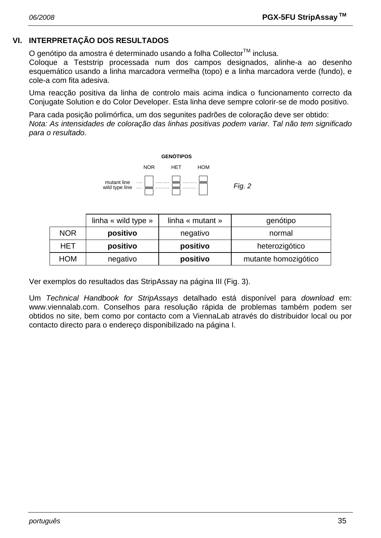# **VI. INTERPRETAÇÃO DOS RESULTADOS**

O genótipo da amostra é determinado usando a folha Collector™ inclusa.

Coloque a Teststrip processada num dos campos designados, alinhe-a ao desenho esquemático usando a linha marcadora vermelha (topo) e a linha marcadora verde (fundo), e cole-a com fita adesiva.

Uma reacção positiva da linha de controlo mais acima indica o funcionamento correcto da Conjugate Solution e do Color Developer. Esta linha deve sempre colorir-se de modo positivo.

Para cada posição polimórfica, um dos segunites padrões de coloração deve ser obtido: *Nota: As intensidades de coloração das linhas positivas podem variar. Tal não tem significado para o resultado.* 



|            | linha « wild type » | linha « mutant » | genótipo             |  |
|------------|---------------------|------------------|----------------------|--|
| <b>NOR</b> | positivo            | negativo         | normal               |  |
| HET        | positivo            | positivo         | heterozigótico       |  |
| <b>HOM</b> | negativo            | positivo         | mutante homozigótico |  |

Ver exemplos do resultados das StripAssay na página III (Fig. 3).

Um *Technical Handbook for StripAssays* detalhado está disponível para *download* em: www.viennalab.com. Conselhos para resolução rápida de problemas também podem ser obtidos no site, bem como por contacto com a ViennaLab através do distribuidor local ou por contacto directo para o endereço disponibilizado na página I.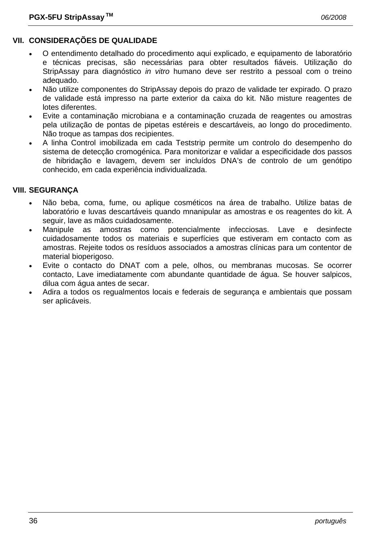# **VII. CONSIDERAÇÕES DE QUALIDADE**

- O entendimento detalhado do procedimento aqui explicado, e equipamento de laboratório e técnicas precisas, são necessárias para obter resultados fiáveis. Utilização do StripAssay para diagnóstico *in vitro* humano deve ser restrito a pessoal com o treino adequado.
- Não utilize componentes do StripAssay depois do prazo de validade ter expirado. O prazo de validade está impresso na parte exterior da caixa do kit. Não misture reagentes de lotes diferentes.
- Evite a contaminação microbiana e a contaminação cruzada de reagentes ou amostras pela utilização de pontas de pipetas estéreis e descartáveis, ao longo do procedimento. Não troque as tampas dos recipientes.
- A linha Control imobilizada em cada Teststrip permite um controlo do desempenho do sistema de detecção cromogénica. Para monitorizar e validar a especificidade dos passos de hibridação e lavagem, devem ser incluídos DNA's de controlo de um genótipo conhecido, em cada experiência individualizada.

#### **VIII. SEGURANÇA**

- Não beba, coma, fume, ou aplique cosméticos na área de trabalho. Utilize batas de laboratório e luvas descartáveis quando mnanipular as amostras e os reagentes do kit. A seguir, lave as mãos cuidadosamente.
- Manipule as amostras como potencialmente infecciosas. Lave e desinfecte cuidadosamente todos os materiais e superfícies que estiveram em contacto com as amostras. Rejeite todos os resíduos associados a amostras clínicas para um contentor de material bioperigoso.
- Evite o contacto do DNAT com a pele, olhos, ou membranas mucosas. Se ocorrer contacto, Lave imediatamente com abundante quantidade de água. Se houver salpicos, dilua com água antes de secar.
- Adira a todos os regualmentos locais e federais de segurança e ambientais que possam ser aplicáveis.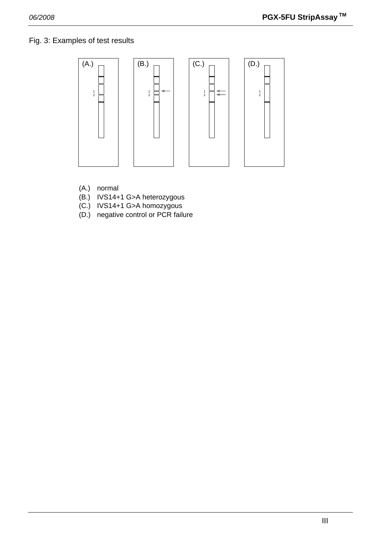# Fig. 3: Examples of test results



- (A.) normal
- (B.) IVS14+1 G>A heterozygous
- (C.) IVS14+1 G>A homozygous
- (D.) negative control or PCR failure